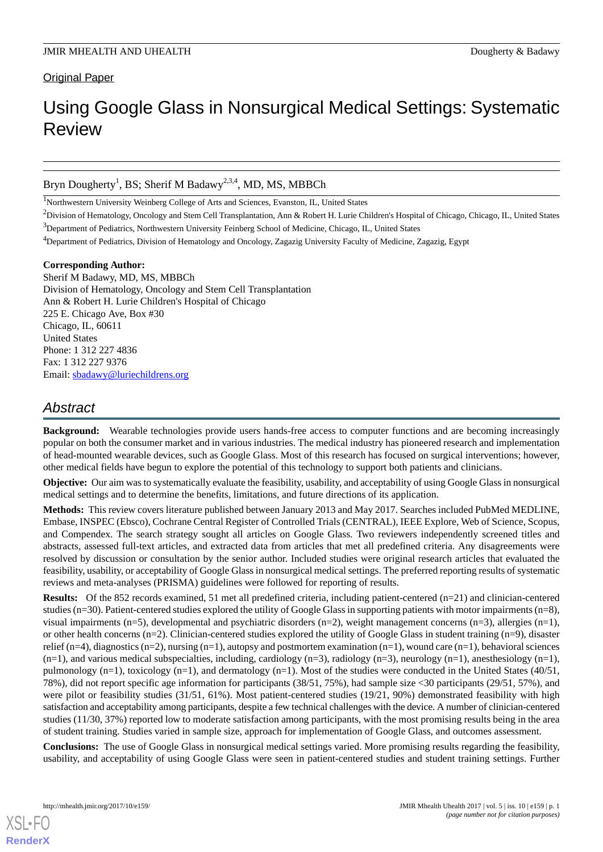### **Original Paper**

# Using Google Glass in Nonsurgical Medical Settings: Systematic Review

### Bryn Dougherty<sup>1</sup>, BS; Sherif M Badawy<sup>2,3,4</sup>, MD, MS, MBBCh

<sup>1</sup>Northwestern University Weinberg College of Arts and Sciences, Evanston, IL, United States

<sup>2</sup>Division of Hematology, Oncology and Stem Cell Transplantation, Ann & Robert H. Lurie Children's Hospital of Chicago, Chicago, IL, United States <sup>3</sup>Department of Pediatrics, Northwestern University Feinberg School of Medicine, Chicago, IL, United States

<sup>4</sup>Department of Pediatrics, Division of Hematology and Oncology, Zagazig University Faculty of Medicine, Zagazig, Egypt

### **Corresponding Author:**

Sherif M Badawy, MD, MS, MBBCh Division of Hematology, Oncology and Stem Cell Transplantation Ann & Robert H. Lurie Children's Hospital of Chicago 225 E. Chicago Ave, Box #30 Chicago, IL, 60611 United States Phone: 1 312 227 4836 Fax: 1 312 227 9376 Email: [sbadawy@luriechildrens.org](mailto:sbadawy@luriechildrens.org)

# *Abstract*

**Background:** Wearable technologies provide users hands-free access to computer functions and are becoming increasingly popular on both the consumer market and in various industries. The medical industry has pioneered research and implementation of head-mounted wearable devices, such as Google Glass. Most of this research has focused on surgical interventions; however, other medical fields have begun to explore the potential of this technology to support both patients and clinicians.

**Objective:** Our aim was to systematically evaluate the feasibility, usability, and acceptability of using Google Glass in nonsurgical medical settings and to determine the benefits, limitations, and future directions of its application.

**Methods:** This review covers literature published between January 2013 and May 2017. Searches included PubMed MEDLINE, Embase, INSPEC (Ebsco), Cochrane Central Register of Controlled Trials (CENTRAL), IEEE Explore, Web of Science, Scopus, and Compendex. The search strategy sought all articles on Google Glass. Two reviewers independently screened titles and abstracts, assessed full-text articles, and extracted data from articles that met all predefined criteria. Any disagreements were resolved by discussion or consultation by the senior author. Included studies were original research articles that evaluated the feasibility, usability, or acceptability of Google Glass in nonsurgical medical settings. The preferred reporting results of systematic reviews and meta-analyses (PRISMA) guidelines were followed for reporting of results.

**Results:** Of the 852 records examined, 51 met all predefined criteria, including patient-centered (n=21) and clinician-centered studies (n=30). Patient-centered studies explored the utility of Google Glass in supporting patients with motor impairments (n=8), visual impairments (n=5), developmental and psychiatric disorders (n=2), weight management concerns (n=3), allergies (n=1), or other health concerns (n=2). Clinician-centered studies explored the utility of Google Glass in student training (n=9), disaster relief  $(n=4)$ , diagnostics  $(n=2)$ , nursing  $(n=1)$ , autopsy and postmortem examination  $(n=1)$ , wound care  $(n=1)$ , behavioral sciences  $(n=1)$ , and various medical subspecialties, including, cardiology  $(n=3)$ , radiology  $(n=3)$ , neurology  $(n=1)$ , anesthesiology  $(n=1)$ , pulmonology (n=1), toxicology (n=1), and dermatology (n=1). Most of the studies were conducted in the United States (40/51, 78%), did not report specific age information for participants (38/51, 75%), had sample size <30 participants (29/51, 57%), and were pilot or feasibility studies (31/51, 61%). Most patient-centered studies (19/21, 90%) demonstrated feasibility with high satisfaction and acceptability among participants, despite a few technical challenges with the device. A number of clinician-centered studies (11/30, 37%) reported low to moderate satisfaction among participants, with the most promising results being in the area of student training. Studies varied in sample size, approach for implementation of Google Glass, and outcomes assessment.

**Conclusions:** The use of Google Glass in nonsurgical medical settings varied. More promising results regarding the feasibility, usability, and acceptability of using Google Glass were seen in patient-centered studies and student training settings. Further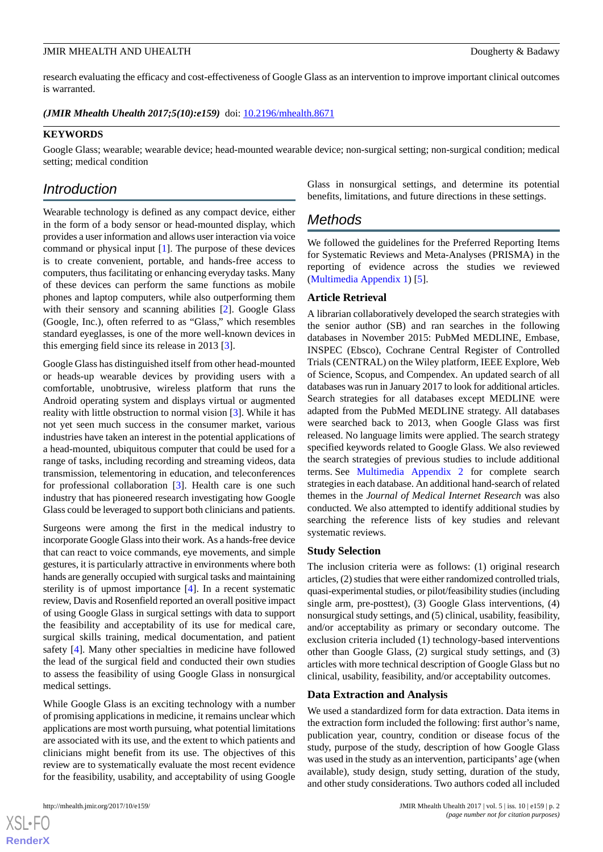research evaluating the efficacy and cost-effectiveness of Google Glass as an intervention to improve important clinical outcomes is warranted.

*(JMIR Mhealth Uhealth 2017;5(10):e159)* doi: **10.2196/mhealth.8671** 

### **KEYWORDS**

Google Glass; wearable; wearable device; head-mounted wearable device; non-surgical setting; non-surgical condition; medical setting; medical condition

# *Introduction*

Wearable technology is defined as any compact device, either in the form of a body sensor or head-mounted display, which provides a user information and allows user interaction via voice command or physical input [[1\]](#page-17-0). The purpose of these devices is to create convenient, portable, and hands-free access to computers, thus facilitating or enhancing everyday tasks. Many of these devices can perform the same functions as mobile phones and laptop computers, while also outperforming them with their sensory and scanning abilities [\[2](#page-17-1)]. Google Glass (Google, Inc.), often referred to as "Glass," which resembles standard eyeglasses, is one of the more well-known devices in this emerging field since its release in 2013 [[3\]](#page-17-2).

Google Glass has distinguished itself from other head-mounted or heads-up wearable devices by providing users with a comfortable, unobtrusive, wireless platform that runs the Android operating system and displays virtual or augmented reality with little obstruction to normal vision [\[3](#page-17-2)]. While it has not yet seen much success in the consumer market, various industries have taken an interest in the potential applications of a head-mounted, ubiquitous computer that could be used for a range of tasks, including recording and streaming videos, data transmission, telementoring in education, and teleconferences for professional collaboration [[3\]](#page-17-2). Health care is one such industry that has pioneered research investigating how Google Glass could be leveraged to support both clinicians and patients.

Surgeons were among the first in the medical industry to incorporate Google Glass into their work. As a hands-free device that can react to voice commands, eye movements, and simple gestures, it is particularly attractive in environments where both hands are generally occupied with surgical tasks and maintaining sterility is of upmost importance [[4\]](#page-18-0). In a recent systematic review, Davis and Rosenfield reported an overall positive impact of using Google Glass in surgical settings with data to support the feasibility and acceptability of its use for medical care, surgical skills training, medical documentation, and patient safety [\[4](#page-18-0)]. Many other specialties in medicine have followed the lead of the surgical field and conducted their own studies to assess the feasibility of using Google Glass in nonsurgical medical settings.

While Google Glass is an exciting technology with a number of promising applications in medicine, it remains unclear which applications are most worth pursuing, what potential limitations are associated with its use, and the extent to which patients and clinicians might benefit from its use. The objectives of this review are to systematically evaluate the most recent evidence for the feasibility, usability, and acceptability of using Google

Glass in nonsurgical settings, and determine its potential benefits, limitations, and future directions in these settings.

# *Methods*

We followed the guidelines for the Preferred Reporting Items for Systematic Reviews and Meta-Analyses (PRISMA) in the reporting of evidence across the studies we reviewed ([Multimedia Appendix 1](#page-17-3)) [\[5](#page-18-1)].

### **Article Retrieval**

A librarian collaboratively developed the search strategies with the senior author (SB) and ran searches in the following databases in November 2015: PubMed MEDLINE, Embase, INSPEC (Ebsco), Cochrane Central Register of Controlled Trials (CENTRAL) on the Wiley platform, IEEE Explore, Web of Science, Scopus, and Compendex. An updated search of all databases was run in January 2017 to look for additional articles. Search strategies for all databases except MEDLINE were adapted from the PubMed MEDLINE strategy. All databases were searched back to 2013, when Google Glass was first released. No language limits were applied. The search strategy specified keywords related to Google Glass. We also reviewed the search strategies of previous studies to include additional terms. See [Multimedia Appendix 2](#page-17-4) for complete search strategies in each database. An additional hand-search of related themes in the *Journal of Medical Internet Research* was also conducted. We also attempted to identify additional studies by searching the reference lists of key studies and relevant systematic reviews.

### **Study Selection**

The inclusion criteria were as follows: (1) original research articles, (2) studies that were either randomized controlled trials, quasi-experimental studies, or pilot/feasibility studies (including single arm, pre-posttest), (3) Google Glass interventions, (4) nonsurgical study settings, and (5) clinical, usability, feasibility, and/or acceptability as primary or secondary outcome. The exclusion criteria included (1) technology-based interventions other than Google Glass, (2) surgical study settings, and (3) articles with more technical description of Google Glass but no clinical, usability, feasibility, and/or acceptability outcomes.

### **Data Extraction and Analysis**

We used a standardized form for data extraction. Data items in the extraction form included the following: first author's name, publication year, country, condition or disease focus of the study, purpose of the study, description of how Google Glass was used in the study as an intervention, participants' age (when available), study design, study setting, duration of the study, and other study considerations. Two authors coded all included

```
XSL•FO
RenderX
```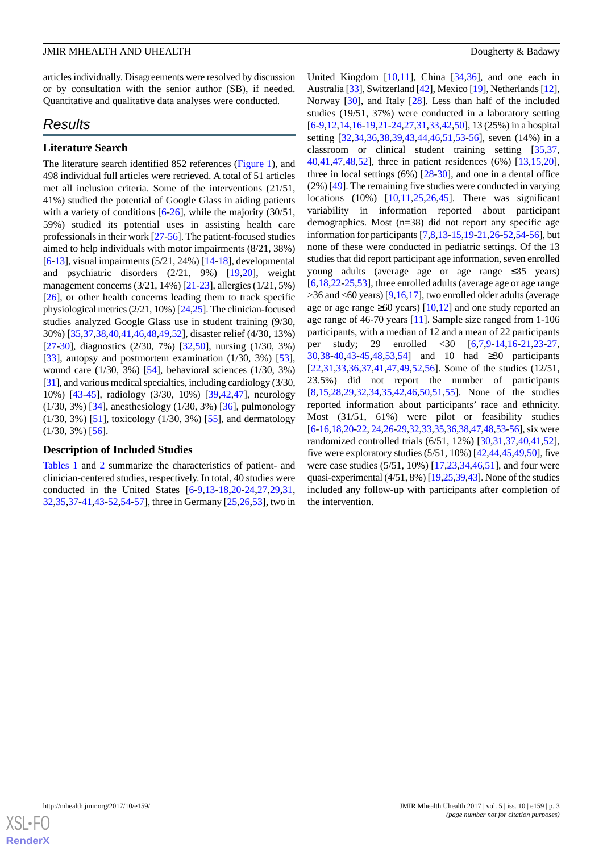articles individually. Disagreements were resolved by discussion or by consultation with the senior author (SB), if needed. Quantitative and qualitative data analyses were conducted.

# *Results*

### **Literature Search**

The literature search identified 852 references [\(Figure 1](#page-4-0)), and 498 individual full articles were retrieved. A total of 51 articles met all inclusion criteria. Some of the interventions (21/51, 41%) studied the potential of Google Glass in aiding patients with a variety of conditions  $[6-26]$  $[6-26]$  $[6-26]$ , while the majority (30/51, 59%) studied its potential uses in assisting health care professionals in their work [\[27](#page-19-1)-[56\]](#page-20-0). The patient-focused studies aimed to help individuals with motor impairments (8/21, 38%) [[6](#page-18-2)[-13](#page-18-3)], visual impairments  $(5/21, 24%)$  [\[14](#page-18-4)[-18](#page-18-5)], developmental and psychiatric disorders (2/21, 9%) [[19](#page-18-6)[,20](#page-18-7)], weight management concerns (3/21, 14%) [\[21](#page-18-8)[-23](#page-18-9)], allergies (1/21, 5%) [[26\]](#page-19-0), or other health concerns leading them to track specific physiological metrics (2/21, 10%) [\[24](#page-19-2)[,25](#page-19-3)]. The clinician-focused studies analyzed Google Glass use in student training (9/30, 30%) [[35](#page-19-4)[,37](#page-19-5),[38](#page-19-6)[,40](#page-19-7),[41](#page-19-8)[,46](#page-20-1),[48](#page-20-2)[,49](#page-20-3),[52\]](#page-20-4), disaster relief (4/30, 13%) [[27](#page-19-1)[-30](#page-19-9)], diagnostics (2/30, 7%) [\[32](#page-19-10),[50\]](#page-20-5), nursing (1/30, 3%) [[33\]](#page-19-11), autopsy and postmortem examination (1/30, 3%) [[53\]](#page-20-6), wound care (1/30, 3%) [\[54](#page-20-7)], behavioral sciences (1/30, 3%) [[31\]](#page-19-12), and various medical specialties, including cardiology (3/30, 10%) [[43](#page-19-13)[-45](#page-20-8)], radiology (3/30, 10%) [[39](#page-19-14)[,42](#page-19-15),[47\]](#page-20-9), neurology (1/30, 3%) [\[34](#page-19-16)], anesthesiology (1/30, 3%) [[36\]](#page-19-17), pulmonology (1/30, 3%) [[51\]](#page-20-10), toxicology (1/30, 3%) [\[55](#page-20-11)], and dermatology  $(1/30, 3\%)$  [\[56](#page-20-0)].

### **Description of Included Studies**

[Tables 1](#page-3-0) and [2](#page-5-0) summarize the characteristics of patient- and clinician-centered studies, respectively. In total, 40 studies were conducted in the United States [[6-](#page-18-2)[9](#page-18-10)[,13](#page-18-3)-[18](#page-18-5)[,20](#page-18-7)-[24,](#page-19-2)[27](#page-19-1),[29,](#page-19-18)[31](#page-19-12), [32](#page-19-10)[,35](#page-19-4),[37-](#page-19-5)[41](#page-19-8)[,43](#page-19-13)-[52,](#page-20-4)[54](#page-20-7)[-57](#page-20-12)], three in Germany [\[25](#page-19-3),[26](#page-19-0)[,53](#page-20-6)], two in

United Kingdom  $[10,11]$  $[10,11]$  $[10,11]$ , China  $[34,36]$  $[34,36]$  $[34,36]$ , and one each in Australia [[33\]](#page-19-11), Switzerland [\[42](#page-19-15)], Mexico [\[19\]](#page-18-6), Netherlands [\[12](#page-18-13)], Norway [\[30](#page-19-9)], and Italy [[28\]](#page-19-19). Less than half of the included studies (19/51, 37%) were conducted in a laboratory setting [[6](#page-18-2)[-9](#page-18-10),[12,](#page-18-13)[14](#page-18-4),[16-](#page-18-14)[19](#page-18-6)[,21](#page-18-8)[-24](#page-19-2),[27](#page-19-1)[,31](#page-19-12),[33](#page-19-11)[,42](#page-19-15),[50\]](#page-20-5), 13 (25%) in a hospital setting [\[32](#page-19-10),[34,](#page-19-16)[36](#page-19-17),[38,](#page-19-6)[39](#page-19-14),[43,](#page-19-13)[44](#page-20-13),[46,](#page-20-1)[51](#page-20-10),[53-](#page-20-6)[56](#page-20-0)], seven (14%) in a classroom or clinical student training setting [[35](#page-19-4)[,37](#page-19-5), [40,](#page-19-7)[41](#page-19-8),[47,](#page-20-9)[48](#page-20-2),[52\]](#page-20-4), three in patient residences (6%) [[13](#page-18-3)[,15](#page-18-15),[20\]](#page-18-7), three in local settings (6%) [[28-](#page-19-19)[30\]](#page-19-9), and one in a dental office (2%) [\[49](#page-20-3)]. The remaining five studies were conducted in varying locations (10%) [\[10](#page-18-11),[11](#page-18-12)[,25](#page-19-3),[26](#page-19-0)[,45](#page-20-8)]. There was significant variability in information reported about participant demographics. Most (n=38) did not report any specific age information for participants [[7](#page-18-16)[,8](#page-18-17)[,13](#page-18-3)-[15,](#page-18-15)[19](#page-18-6)[-21](#page-18-8),[26-](#page-19-0)[52](#page-20-4)[,54](#page-20-7)-[56\]](#page-20-0), but none of these were conducted in pediatric settings. Of the 13 studies that did report participant age information, seven enrolled young adults (average age or age range ≤35 years) [[6](#page-18-2)[,18](#page-18-5),[22](#page-18-18)[-25](#page-19-3),[53\]](#page-20-6), three enrolled adults (average age or age range  $>$ 36 and <60 years) [[9,](#page-18-10)[16](#page-18-14)[,17](#page-18-19)], two enrolled older adults (average age or age range  $\geq 60$  years) [[10,](#page-18-11)[12](#page-18-13)] and one study reported an age range of 46-70 years [[11\]](#page-18-12). Sample size ranged from 1-106 participants, with a median of 12 and a mean of 22 participants per study; 29 enrolled <30 [\[6](#page-18-2),[7](#page-18-16)[,9](#page-18-10)-[14,](#page-18-4)[16](#page-18-14)[-21](#page-18-8),[23](#page-18-9)[-27](#page-19-1), [30,](#page-19-9)[38](#page-19-6)-[40,](#page-19-7)[43](#page-19-13)[-45](#page-20-8),[48](#page-20-2)[,53](#page-20-6),[54\]](#page-20-7) and 10 had ≥30 participants [[22,](#page-18-18)[31,](#page-19-12)[33](#page-19-11)[,36](#page-19-17),[37,](#page-19-5)[41,](#page-19-8)[47](#page-20-9)[,49](#page-20-3),[52,](#page-20-4)[56\]](#page-20-0). Some of the studies (12/51, 23.5%) did not report the number of participants [[8](#page-18-17)[,15](#page-18-15),[28,](#page-19-19)[29,](#page-19-18)[32](#page-19-10)[,34](#page-19-16),[35,](#page-19-4)[42,](#page-19-15)[46](#page-20-1)[,50](#page-20-5),[51,](#page-20-10)[55\]](#page-20-11). None of the studies reported information about participants' race and ethnicity. Most (31/51, 61%) were pilot or feasibility studies [[6-](#page-18-2)[16](#page-18-14)[,18](#page-18-5),[20](#page-18-7)-[22](#page-18-18), [24](#page-19-2)[,26-](#page-19-0)[29](#page-19-18)[,32](#page-19-10)[,33](#page-19-11),[35](#page-19-4)[,36,](#page-19-17)[38](#page-19-6)[,47](#page-20-9),[48](#page-20-2),[53-](#page-20-6)[56\]](#page-20-0), six were randomized controlled trials (6/51, 12%) [\[30](#page-19-9),[31](#page-19-12)[,37](#page-19-5),[40](#page-19-7)[,41](#page-19-8),[52\]](#page-20-4), five were exploratory studies (5/51, 10%) [[42,](#page-19-15)[44](#page-20-13),[45](#page-20-8),[49](#page-20-3)[,50](#page-20-5)], five were case studies (5/51, 10%) [[17,](#page-18-19)[23,](#page-18-9)[34](#page-19-16)[,46](#page-20-1),[51\]](#page-20-10), and four were quasi-experimental (4/51, 8%) [[19](#page-18-6),[25,](#page-19-3)[39,](#page-19-14)[43\]](#page-19-13). None of the studies included any follow-up with participants after completion of the intervention.

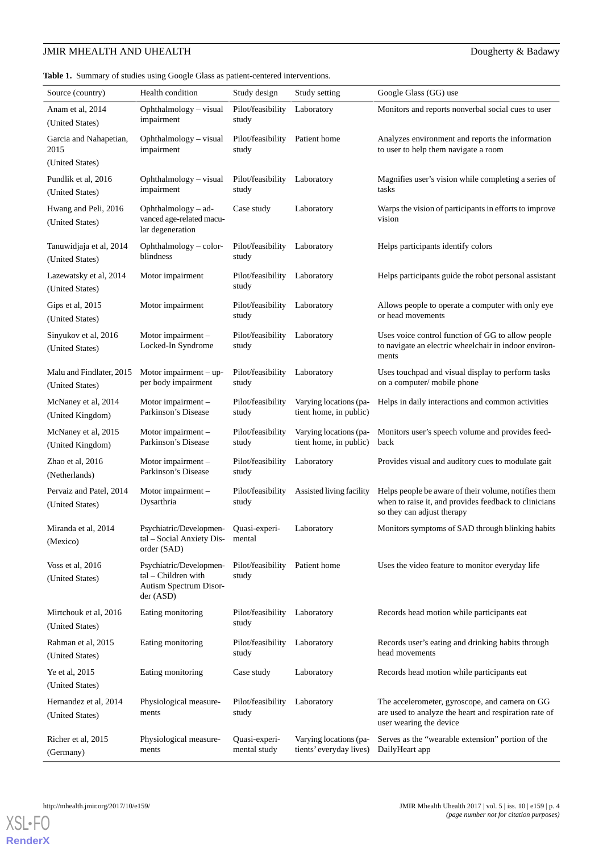<span id="page-3-0"></span>**Table 1.** Summary of studies using Google Glass as patient-centered interventions.

| Source (country)                            | Health condition                                                                      | Study design                            | Study setting                                     | Google Glass (GG) use                                                                                                                       |
|---------------------------------------------|---------------------------------------------------------------------------------------|-----------------------------------------|---------------------------------------------------|---------------------------------------------------------------------------------------------------------------------------------------------|
| Anam et al, 2014<br>(United States)         | Ophthalmology - visual<br>impairment                                                  | Pilot/feasibility<br>study              | Laboratory                                        | Monitors and reports nonverbal social cues to user                                                                                          |
| Garcia and Nahapetian,<br>2015              | Ophthalmology - visual<br>impairment                                                  | Pilot/feasibility Patient home<br>study |                                                   | Analyzes environment and reports the information<br>to user to help them navigate a room                                                    |
| (United States)                             |                                                                                       |                                         |                                                   |                                                                                                                                             |
| Pundlik et al, 2016<br>(United States)      | Ophthalmology - visual<br>impairment                                                  | Pilot/feasibility Laboratory<br>study   |                                                   | Magnifies user's vision while completing a series of<br>tasks                                                                               |
| Hwang and Peli, 2016<br>(United States)     | Ophthalmology $-$ ad-<br>vanced age-related macu-<br>lar degeneration                 | Case study                              | Laboratory                                        | Warps the vision of participants in efforts to improve<br>vision                                                                            |
| Tanuwidjaja et al, 2014<br>(United States)  | $O$ phthalmology – color-<br>blindness                                                | Pilot/feasibility Laboratory<br>study   |                                                   | Helps participants identify colors                                                                                                          |
| Lazewatsky et al, 2014<br>(United States)   | Motor impairment                                                                      | Pilot/feasibility Laboratory<br>study   |                                                   | Helps participants guide the robot personal assistant                                                                                       |
| Gips et al, 2015<br>(United States)         | Motor impairment                                                                      | Pilot/feasibility Laboratory<br>study   |                                                   | Allows people to operate a computer with only eye<br>or head movements                                                                      |
| Sinyukov et al, 2016<br>(United States)     | Motor impairment -<br>Locked-In Syndrome                                              | Pilot/feasibility Laboratory<br>study   |                                                   | Uses voice control function of GG to allow people<br>to navigate an electric wheelchair in indoor environ-<br>ments                         |
| Malu and Findlater, 2015<br>(United States) | Motor impairment $-$ up-<br>per body impairment                                       | Pilot/feasibility<br>study              | Laboratory                                        | Uses touchpad and visual display to perform tasks<br>on a computer/ mobile phone                                                            |
| McNaney et al, 2014<br>(United Kingdom)     | Motor impairment -<br>Parkinson's Disease                                             | Pilot/feasibility<br>study              | Varying locations (pa-<br>tient home, in public)  | Helps in daily interactions and common activities                                                                                           |
| McNaney et al, 2015<br>(United Kingdom)     | Motor impairment -<br>Parkinson's Disease                                             | Pilot/feasibility<br>study              | Varying locations (pa-<br>tient home, in public)  | Monitors user's speech volume and provides feed-<br>back                                                                                    |
| Zhao et al, 2016<br>(Netherlands)           | Motor impairment -<br>Parkinson's Disease                                             | Pilot/feasibility<br>study              | Laboratory                                        | Provides visual and auditory cues to modulate gait                                                                                          |
| Pervaiz and Patel, 2014<br>(United States)  | Motor impairment -<br>Dysarthria                                                      | Pilot/feasibility<br>study              | Assisted living facility                          | Helps people be aware of their volume, notifies them<br>when to raise it, and provides feedback to clinicians<br>so they can adjust therapy |
| Miranda et al, 2014<br>(Mexico)             | Psychiatric/Developmen-<br>tal – Social Anxiety Dis-<br>order (SAD)                   | Quasi-experi-<br>mental                 | Laboratory                                        | Monitors symptoms of SAD through blinking habits                                                                                            |
| Voss et al, 2016<br>(United States)         | Psychiatric/Developmen-<br>tal – Children with<br>Autism Spectrum Disor-<br>der (ASD) | Pilot/feasibility<br>study              | Patient home                                      | Uses the video feature to monitor everyday life                                                                                             |
| Mirtchouk et al, 2016<br>(United States)    | Eating monitoring                                                                     | Pilot/feasibility<br>study              | Laboratory                                        | Records head motion while participants eat                                                                                                  |
| Rahman et al, 2015<br>(United States)       | Eating monitoring                                                                     | Pilot/feasibility<br>study              | Laboratory                                        | Records user's eating and drinking habits through<br>head movements                                                                         |
| Ye et al, 2015<br>(United States)           | Eating monitoring                                                                     | Case study                              | Laboratory                                        | Records head motion while participants eat                                                                                                  |
| Hernandez et al, 2014<br>(United States)    | Physiological measure-<br>ments                                                       | Pilot/feasibility<br>study              | Laboratory                                        | The accelerometer, gyroscope, and camera on GG<br>are used to analyze the heart and respiration rate of<br>user wearing the device          |
| Richer et al, 2015<br>(Germany)             | Physiological measure-<br>ments                                                       | Quasi-experi-<br>mental study           | Varying locations (pa-<br>tients' everyday lives) | Serves as the "wearable extension" portion of the<br>DailyHeart app                                                                         |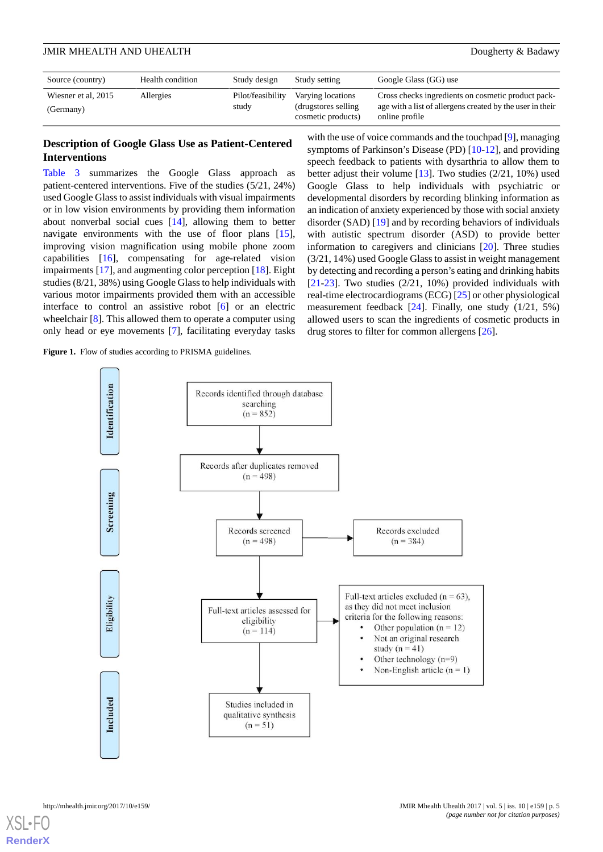| Source (country)                 | Health condition | Study design               | Study setting                                                   | Google Glass (GG) use                                                                                                              |
|----------------------------------|------------------|----------------------------|-----------------------------------------------------------------|------------------------------------------------------------------------------------------------------------------------------------|
| Wiesner et al, 2015<br>(Germany) | Allergies        | Pilot/feasibility<br>study | Varying locations<br>(drugstores selling)<br>cosmetic products) | Cross checks ingredients on cosmetic product pack-<br>age with a list of all ergens created by the user in their<br>online profile |

### **Description of Google Glass Use as Patient-Centered Interventions**

[Table 3](#page-7-0) summarizes the Google Glass approach as patient-centered interventions. Five of the studies (5/21, 24%) used Google Glass to assist individuals with visual impairments or in low vision environments by providing them information about nonverbal social cues [[14\]](#page-18-4), allowing them to better navigate environments with the use of floor plans [[15\]](#page-18-15), improving vision magnification using mobile phone zoom capabilities [\[16](#page-18-14)], compensating for age-related vision impairments [[17\]](#page-18-19), and augmenting color perception [\[18](#page-18-5)]. Eight studies (8/21, 38%) using Google Glass to help individuals with various motor impairments provided them with an accessible interface to control an assistive robot [[6\]](#page-18-2) or an electric wheelchair [\[8](#page-18-17)]. This allowed them to operate a computer using only head or eye movements [[7\]](#page-18-16), facilitating everyday tasks

<span id="page-4-0"></span>Figure 1. Flow of studies according to PRISMA guidelines.

with the use of voice commands and the touchpad [\[9](#page-18-10)], managing symptoms of Parkinson's Disease (PD) [[10-](#page-18-11)[12\]](#page-18-13), and providing speech feedback to patients with dysarthria to allow them to better adjust their volume  $[13]$  $[13]$ . Two studies  $(2/21, 10\%)$  used Google Glass to help individuals with psychiatric or developmental disorders by recording blinking information as an indication of anxiety experienced by those with social anxiety disorder (SAD) [\[19](#page-18-6)] and by recording behaviors of individuals with autistic spectrum disorder (ASD) to provide better information to caregivers and clinicians [\[20](#page-18-7)]. Three studies (3/21, 14%) used Google Glass to assist in weight management by detecting and recording a person's eating and drinking habits [[21](#page-18-8)[-23](#page-18-9)]. Two studies (2/21, 10%) provided individuals with real-time electrocardiograms (ECG) [\[25](#page-19-3)] or other physiological measurement feedback [\[24](#page-19-2)]. Finally, one study (1/21, 5%) allowed users to scan the ingredients of cosmetic products in drug stores to filter for common allergens [[26\]](#page-19-0).

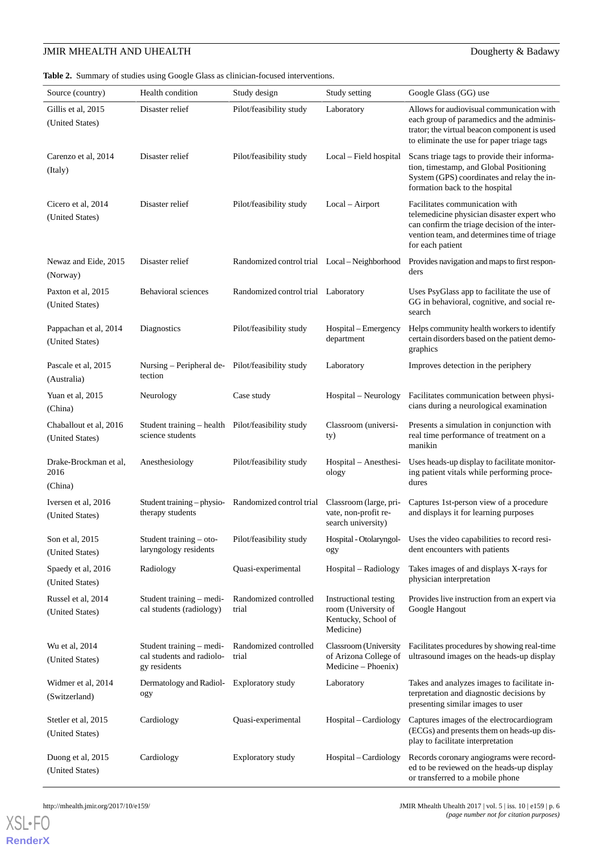<span id="page-5-0"></span>**Table 2.** Summary of studies using Google Glass as clinician-focused interventions.

| Source (country)                          | Health condition                                                      | Study design                                        | Study setting                                                                    | Google Glass (GG) use                                                                                                                                                                            |
|-------------------------------------------|-----------------------------------------------------------------------|-----------------------------------------------------|----------------------------------------------------------------------------------|--------------------------------------------------------------------------------------------------------------------------------------------------------------------------------------------------|
| Gillis et al, 2015<br>(United States)     | Disaster relief                                                       | Pilot/feasibility study                             | Laboratory                                                                       | Allows for audiovisual communication with<br>each group of paramedics and the adminis-<br>trator; the virtual beacon component is used<br>to eliminate the use for paper triage tags             |
| Carenzo et al, 2014<br>(Italy)            | Disaster relief                                                       | Pilot/feasibility study                             | Local – Field hospital                                                           | Scans triage tags to provide their informa-<br>tion, timestamp, and Global Positioning<br>System (GPS) coordinates and relay the in-<br>formation back to the hospital                           |
| Cicero et al, 2014<br>(United States)     | Disaster relief                                                       | Pilot/feasibility study                             | Local – Airport                                                                  | Facilitates communication with<br>telemedicine physician disaster expert who<br>can confirm the triage decision of the inter-<br>vention team, and determines time of triage<br>for each patient |
| Newaz and Eide, 2015<br>(Norway)          | Disaster relief                                                       | Randomized control trial Local – Neighborhood       |                                                                                  | Provides navigation and maps to first respon-<br>ders                                                                                                                                            |
| Paxton et al, 2015<br>(United States)     | Behavioral sciences                                                   | Randomized control trial Laboratory                 |                                                                                  | Uses PsyGlass app to facilitate the use of<br>GG in behavioral, cognitive, and social re-<br>search                                                                                              |
| Pappachan et al, 2014<br>(United States)  | Diagnostics                                                           | Pilot/feasibility study                             | Hospital – Emergency<br>department                                               | Helps community health workers to identify<br>certain disorders based on the patient demo-<br>graphics                                                                                           |
| Pascale et al, 2015<br>(Australia)        | Nursing – Peripheral de- Pilot/feasibility study<br>tection           |                                                     | Laboratory                                                                       | Improves detection in the periphery                                                                                                                                                              |
| Yuan et al, 2015<br>(China)               | Neurology                                                             | Case study                                          | Hospital – Neurology                                                             | Facilitates communication between physi-<br>cians during a neurological examination                                                                                                              |
| Chaballout et al, 2016<br>(United States) | Student training – health Pilot/feasibility study<br>science students |                                                     | Classroom (universi-<br>ty)                                                      | Presents a simulation in conjunction with<br>real time performance of treatment on a<br>manikin                                                                                                  |
| Drake-Brockman et al,<br>2016<br>(China)  | Anesthesiology                                                        | Pilot/feasibility study                             | Hospital – Anesthesi-<br>ology                                                   | Uses heads-up display to facilitate monitor-<br>ing patient vitals while performing proce-<br>dures                                                                                              |
| Iversen et al, 2016<br>(United States)    | therapy students                                                      | Student training - physio- Randomized control trial | Classroom (large, pri-<br>vate, non-profit re-<br>search university)             | Captures 1st-person view of a procedure<br>and displays it for learning purposes                                                                                                                 |
| Son et al, 2015<br>(United States)        | Student training $-$ oto-<br>laryngology residents                    | Pilot/feasibility study                             | Hospital - Otolaryngol-<br>ogy                                                   | Uses the video capabilities to record resi-<br>dent encounters with patients                                                                                                                     |
| Spaedy et al, 2016<br>(United States)     | Radiology                                                             | Quasi-experimental                                  | Hospital – Radiology                                                             | Takes images of and displays X-rays for<br>physician interpretation                                                                                                                              |
| Russel et al, 2014<br>(United States)     | Student training – medi-<br>cal students (radiology)                  | Randomized controlled<br>trial                      | Instructional testing<br>room (University of<br>Kentucky, School of<br>Medicine) | Provides live instruction from an expert via<br>Google Hangout                                                                                                                                   |
| Wu et al, 2014<br>(United States)         | Student training – medi-<br>cal students and radiolo-<br>gy residents | Randomized controlled<br>trial                      | Classroom (University<br>of Arizona College of<br>Medicine – Phoenix)            | Facilitates procedures by showing real-time<br>ultrasound images on the heads-up display                                                                                                         |
| Widmer et al, 2014<br>(Switzerland)       | Dermatology and Radiol-<br>ogy                                        | <b>Exploratory study</b>                            | Laboratory                                                                       | Takes and analyzes images to facilitate in-<br>terpretation and diagnostic decisions by<br>presenting similar images to user                                                                     |
| Stetler et al, 2015<br>(United States)    | Cardiology                                                            | Quasi-experimental                                  | Hospital – Cardiology                                                            | Captures images of the electrocardiogram<br>(ECGs) and presents them on heads-up dis-<br>play to facilitate interpretation                                                                       |
| Duong et al, 2015<br>(United States)      | Cardiology                                                            | <b>Exploratory study</b>                            | Hospital – Cardiology                                                            | Records coronary angiograms were record-<br>ed to be reviewed on the heads-up display<br>or transferred to a mobile phone                                                                        |

```
http://mhealth.jmir.org/2017/10/e159/ JMIR Mhealth Uhealth 2017 | vol. 5 | iss. 10 | e159 | p. 6
                                                                                       (page number not for citation purposes)
```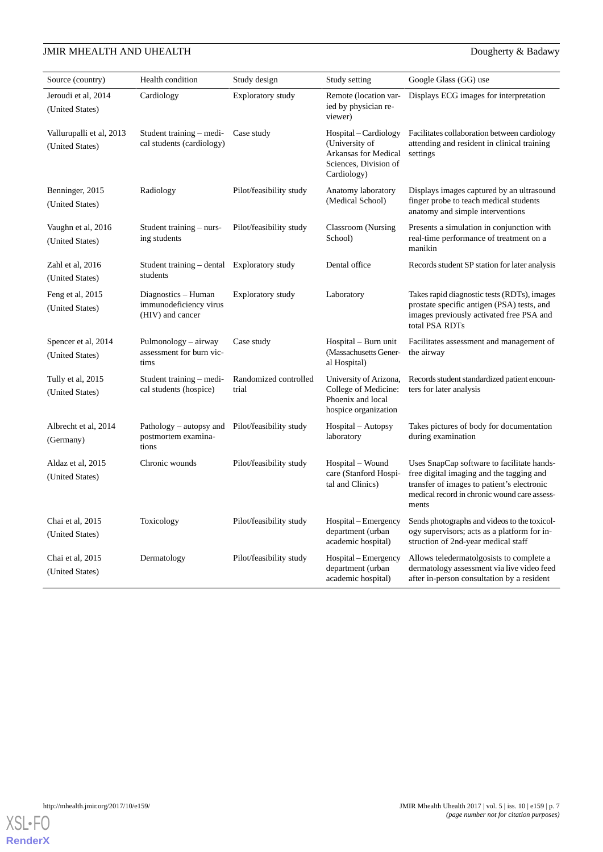| Source (country)                            | Health condition                                                  | Study design                   | Study setting                                                                                                  | Google Glass (GG) use                                                                                                                                                                         |
|---------------------------------------------|-------------------------------------------------------------------|--------------------------------|----------------------------------------------------------------------------------------------------------------|-----------------------------------------------------------------------------------------------------------------------------------------------------------------------------------------------|
| Jeroudi et al, 2014<br>(United States)      | Cardiology                                                        | Exploratory study              | Remote (location var-<br>ied by physician re-<br>viewer)                                                       | Displays ECG images for interpretation                                                                                                                                                        |
| Vallurupalli et al, 2013<br>(United States) | Student training – medi-<br>cal students (cardiology)             | Case study                     | Hospital - Cardiology<br>(University of<br><b>Arkansas for Medical</b><br>Sciences, Division of<br>Cardiology) | Facilitates collaboration between cardiology<br>attending and resident in clinical training<br>settings                                                                                       |
| Benninger, 2015<br>(United States)          | Radiology                                                         | Pilot/feasibility study        | Anatomy laboratory<br>(Medical School)                                                                         | Displays images captured by an ultrasound<br>finger probe to teach medical students<br>anatomy and simple interventions                                                                       |
| Vaughn et al, 2016<br>(United States)       | Student training – nurs-<br>ing students                          | Pilot/feasibility study        | Classroom (Nursing<br>School)                                                                                  | Presents a simulation in conjunction with<br>real-time performance of treatment on a<br>manikin                                                                                               |
| Zahl et al, 2016<br>(United States)         | Student training – dental Exploratory study<br>students           |                                | Dental office                                                                                                  | Records student SP station for later analysis                                                                                                                                                 |
| Feng et al, 2015<br>(United States)         | Diagnostics - Human<br>immunodeficiency virus<br>(HIV) and cancer | <b>Exploratory study</b>       | Laboratory                                                                                                     | Takes rapid diagnostic tests (RDTs), images<br>prostate specific antigen (PSA) tests, and<br>images previously activated free PSA and<br>total PSA RDTs                                       |
| Spencer et al, 2014<br>(United States)      | Pulmonology – airway<br>assessment for burn vic-<br>tims          | Case study                     | Hospital – Burn unit<br>(Massachusetts Gener-<br>al Hospital)                                                  | Facilitates assessment and management of<br>the airway                                                                                                                                        |
| Tully et al, 2015<br>(United States)        | Student training – medi-<br>cal students (hospice)                | Randomized controlled<br>trial | University of Arizona,<br>College of Medicine:<br>Phoenix and local<br>hospice organization                    | Records student standardized patient encoun-<br>ters for later analysis                                                                                                                       |
| Albrecht et al, 2014<br>(Germany)           | Pathology – autopsy and<br>postmortem examina-<br>tions           | Pilot/feasibility study        | Hospital – Autopsy<br>laboratory                                                                               | Takes pictures of body for documentation<br>during examination                                                                                                                                |
| Aldaz et al, 2015<br>(United States)        | Chronic wounds                                                    | Pilot/feasibility study        | Hospital – Wound<br>care (Stanford Hospi-<br>tal and Clinics)                                                  | Uses SnapCap software to facilitate hands-<br>free digital imaging and the tagging and<br>transfer of images to patient's electronic<br>medical record in chronic wound care assess-<br>ments |
| Chai et al, 2015<br>(United States)         | Toxicology                                                        | Pilot/feasibility study        | Hospital – Emergency<br>department (urban<br>academic hospital)                                                | Sends photographs and videos to the toxicol-<br>ogy supervisors; acts as a platform for in-<br>struction of 2nd-year medical staff                                                            |
| Chai et al, 2015<br>(United States)         | Dermatology                                                       | Pilot/feasibility study        | Hospital – Emergency<br>department (urban<br>academic hospital)                                                | Allows teledermatolgosists to complete a<br>dermatology assessment via live video feed<br>after in-person consultation by a resident                                                          |

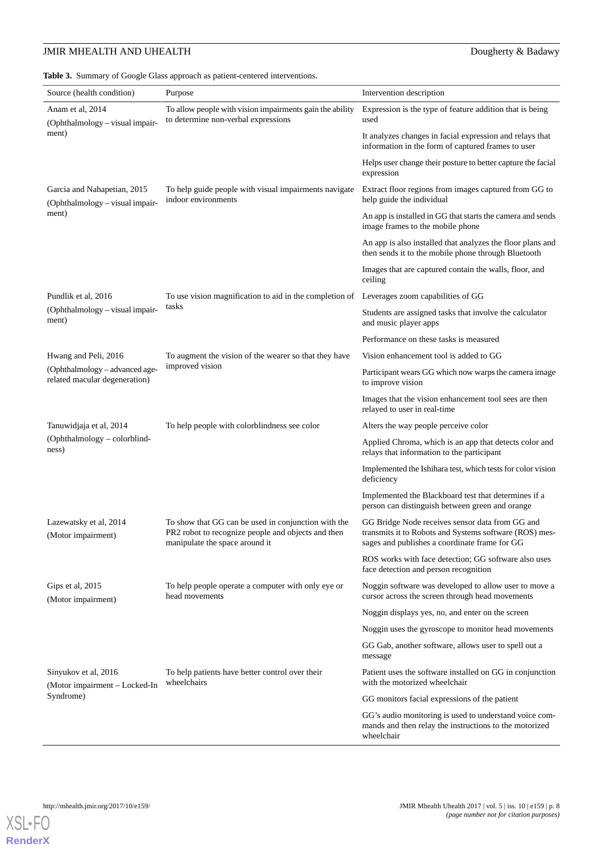<span id="page-7-0"></span>**Table 3.** Summary of Google Glass approach as patient-centered interventions.

| Source (health condition)                                       | Purpose                                                                                                                                     | Intervention description                                                                                                                                   |
|-----------------------------------------------------------------|---------------------------------------------------------------------------------------------------------------------------------------------|------------------------------------------------------------------------------------------------------------------------------------------------------------|
| Anam et al, 2014<br>(Ophthalmology - visual impair-             | To allow people with vision impairments gain the ability<br>to determine non-verbal expressions                                             | Expression is the type of feature addition that is being<br>used                                                                                           |
| ment)                                                           |                                                                                                                                             | It analyzes changes in facial expression and relays that<br>information in the form of captured frames to user                                             |
|                                                                 |                                                                                                                                             | Helps user change their posture to better capture the facial<br>expression                                                                                 |
| Garcia and Nahapetian, 2015<br>(Ophthalmology - visual impair-  | To help guide people with visual impairments navigate<br>indoor environments                                                                | Extract floor regions from images captured from GG to<br>help guide the individual                                                                         |
| ment)                                                           |                                                                                                                                             | An app is installed in GG that starts the camera and sends<br>image frames to the mobile phone                                                             |
|                                                                 |                                                                                                                                             | An app is also installed that analyzes the floor plans and<br>then sends it to the mobile phone through Bluetooth                                          |
|                                                                 |                                                                                                                                             | Images that are captured contain the walls, floor, and<br>ceiling                                                                                          |
| Pundlik et al, 2016                                             | To use vision magnification to aid in the completion of                                                                                     | Leverages zoom capabilities of GG                                                                                                                          |
| (Ophthalmology - visual impair-<br>ment)                        | tasks                                                                                                                                       | Students are assigned tasks that involve the calculator<br>and music player apps                                                                           |
|                                                                 |                                                                                                                                             | Performance on these tasks is measured                                                                                                                     |
| Hwang and Peli, 2016                                            | To augment the vision of the wearer so that they have                                                                                       | Vision enhancement tool is added to GG                                                                                                                     |
| (Ophthalmology - advanced age-<br>related macular degeneration) | improved vision                                                                                                                             | Participant wears GG which now warps the camera image<br>to improve vision                                                                                 |
|                                                                 |                                                                                                                                             | Images that the vision enhancement tool sees are then<br>relayed to user in real-time                                                                      |
| Tanuwidjaja et al, 2014                                         | To help people with colorblindness see color                                                                                                | Alters the way people perceive color                                                                                                                       |
| (Ophthalmology - colorblind-<br>ness)                           |                                                                                                                                             | Applied Chroma, which is an app that detects color and<br>relays that information to the participant                                                       |
|                                                                 |                                                                                                                                             | Implemented the Ishihara test, which tests for color vision<br>deficiency                                                                                  |
|                                                                 |                                                                                                                                             | Implemented the Blackboard test that determines if a<br>person can distinguish between green and orange                                                    |
| Lazewatsky et al, 2014<br>(Motor impairment)                    | To show that GG can be used in conjunction with the<br>PR2 robot to recognize people and objects and then<br>manipulate the space around it | GG Bridge Node receives sensor data from GG and<br>transmits it to Robots and Systems software (ROS) mes-<br>sages and publishes a coordinate frame for GG |
|                                                                 |                                                                                                                                             | ROS works with face detection; GG software also uses<br>face detection and person recognition                                                              |
| Gips et al, 2015<br>(Motor impairment)                          | To help people operate a computer with only eye or<br>head movements                                                                        | Noggin software was developed to allow user to move a<br>cursor across the screen through head movements                                                   |
|                                                                 |                                                                                                                                             | Noggin displays yes, no, and enter on the screen                                                                                                           |
|                                                                 |                                                                                                                                             | Noggin uses the gyroscope to monitor head movements                                                                                                        |
|                                                                 |                                                                                                                                             | GG Gab, another software, allows user to spell out a<br>message                                                                                            |
| Sinyukov et al, 2016<br>(Motor impairment – Locked-In           | To help patients have better control over their<br>wheelchairs                                                                              | Patient uses the software installed on GG in conjunction<br>with the motorized wheelchair                                                                  |
| Syndrome)                                                       |                                                                                                                                             | GG monitors facial expressions of the patient                                                                                                              |
|                                                                 |                                                                                                                                             | GG's audio monitoring is used to understand voice com-<br>mands and then relay the instructions to the motorized<br>wheelchair                             |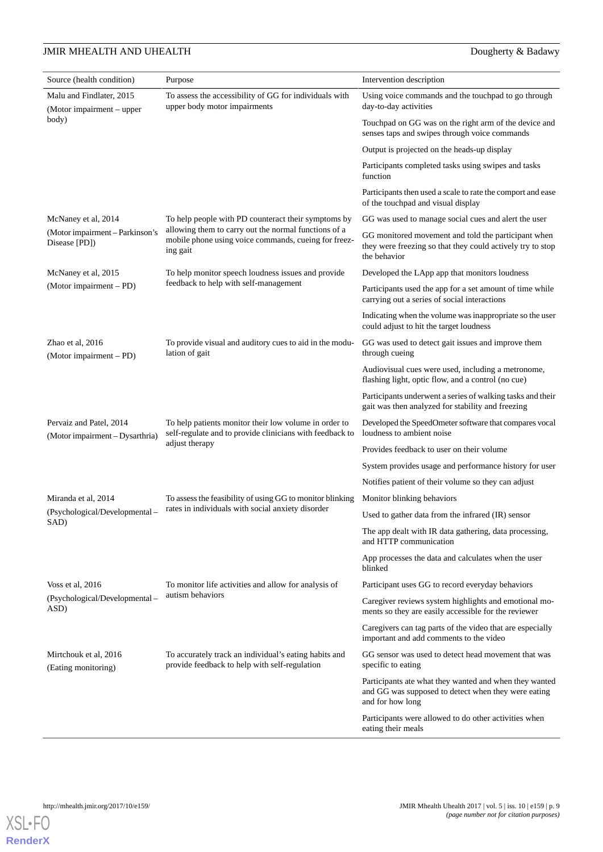| Source (health condition)                                  | Purpose                                                                                                                             | Intervention description                                                                                                          |
|------------------------------------------------------------|-------------------------------------------------------------------------------------------------------------------------------------|-----------------------------------------------------------------------------------------------------------------------------------|
| Malu and Findlater, 2015<br>(Motor impairment – upper      | To assess the accessibility of GG for individuals with<br>upper body motor impairments                                              | Using voice commands and the touchpad to go through<br>day-to-day activities                                                      |
| body)                                                      |                                                                                                                                     | Touchpad on GG was on the right arm of the device and<br>senses taps and swipes through voice commands                            |
|                                                            |                                                                                                                                     | Output is projected on the heads-up display                                                                                       |
|                                                            |                                                                                                                                     | Participants completed tasks using swipes and tasks<br>function                                                                   |
|                                                            |                                                                                                                                     | Participants then used a scale to rate the comport and ease<br>of the touchpad and visual display                                 |
| McNaney et al, 2014                                        | To help people with PD counteract their symptoms by                                                                                 | GG was used to manage social cues and alert the user                                                                              |
| (Motor impairment – Parkinson's<br>Disease [PD])           | allowing them to carry out the normal functions of a<br>mobile phone using voice commands, cueing for freez-<br>ing gait            | GG monitored movement and told the participant when<br>they were freezing so that they could actively try to stop<br>the behavior |
| McNaney et al, 2015                                        | To help monitor speech loudness issues and provide                                                                                  | Developed the LApp app that monitors loudness                                                                                     |
| (Motor impairment – PD)                                    | feedback to help with self-management                                                                                               | Participants used the app for a set amount of time while<br>carrying out a series of social interactions                          |
|                                                            |                                                                                                                                     | Indicating when the volume was inappropriate so the user<br>could adjust to hit the target loudness                               |
| Zhao et al, 2016<br>(Motor impairment – PD)                | To provide visual and auditory cues to aid in the modu-<br>lation of gait                                                           | GG was used to detect gait issues and improve them<br>through cueing                                                              |
|                                                            |                                                                                                                                     | Audiovisual cues were used, including a metronome,<br>flashing light, optic flow, and a control (no cue)                          |
|                                                            |                                                                                                                                     | Participants underwent a series of walking tasks and their<br>gait was then analyzed for stability and freezing                   |
| Pervaiz and Patel, 2014<br>(Motor impairment - Dysarthria) | To help patients monitor their low volume in order to<br>self-regulate and to provide clinicians with feedback to<br>adjust therapy | Developed the SpeedOmeter software that compares vocal<br>loudness to ambient noise                                               |
|                                                            |                                                                                                                                     | Provides feedback to user on their volume                                                                                         |
|                                                            |                                                                                                                                     | System provides usage and performance history for user                                                                            |
|                                                            |                                                                                                                                     | Notifies patient of their volume so they can adjust                                                                               |
| Miranda et al, 2014                                        | To assess the feasibility of using GG to monitor blinking                                                                           | Monitor blinking behaviors                                                                                                        |
| (Psychological/Developmental-<br>SAD)                      | rates in individuals with social anxiety disorder                                                                                   | Used to gather data from the infrared (IR) sensor                                                                                 |
|                                                            |                                                                                                                                     | The app dealt with IR data gathering, data processing,<br>and HTTP communication                                                  |
|                                                            |                                                                                                                                     | App processes the data and calculates when the user<br>blinked                                                                    |
| Voss et al, $2016$                                         | To monitor life activities and allow for analysis of                                                                                | Participant uses GG to record everyday behaviors                                                                                  |
| (Psychological/Developmental –<br>ASD)                     | autism behaviors                                                                                                                    | Caregiver reviews system highlights and emotional mo-<br>ments so they are easily accessible for the reviewer                     |
|                                                            |                                                                                                                                     | Caregivers can tag parts of the video that are especially<br>important and add comments to the video                              |
| Mirtchouk et al, 2016<br>(Eating monitoring)               | To accurately track an individual's eating habits and<br>provide feedback to help with self-regulation                              | GG sensor was used to detect head movement that was<br>specific to eating                                                         |
|                                                            |                                                                                                                                     | Participants ate what they wanted and when they wanted<br>and GG was supposed to detect when they were eating<br>and for how long |
|                                                            |                                                                                                                                     | Participants were allowed to do other activities when<br>eating their meals                                                       |

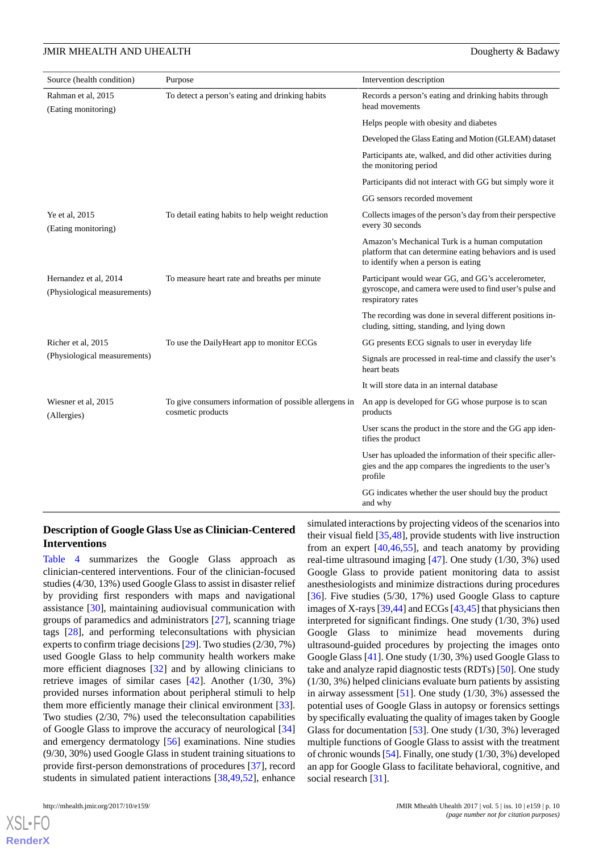| Source (health condition)                             | Purpose                                                                     | Intervention description                                                                                                                           |
|-------------------------------------------------------|-----------------------------------------------------------------------------|----------------------------------------------------------------------------------------------------------------------------------------------------|
| Rahman et al, 2015<br>(Eating monitoring)             | To detect a person's eating and drinking habits                             | Records a person's eating and drinking habits through<br>head movements                                                                            |
|                                                       |                                                                             | Helps people with obesity and diabetes                                                                                                             |
|                                                       |                                                                             | Developed the Glass Eating and Motion (GLEAM) dataset                                                                                              |
|                                                       |                                                                             | Participants ate, walked, and did other activities during<br>the monitoring period                                                                 |
|                                                       |                                                                             | Participants did not interact with GG but simply wore it                                                                                           |
|                                                       |                                                                             | GG sensors recorded movement                                                                                                                       |
| Ye et al, 2015<br>(Eating monitoring)                 | To detail eating habits to help weight reduction                            | Collects images of the person's day from their perspective<br>every 30 seconds                                                                     |
|                                                       |                                                                             | Amazon's Mechanical Turk is a human computation<br>platform that can determine eating behaviors and is used<br>to identify when a person is eating |
| Hernandez et al, 2014<br>(Physiological measurements) | To measure heart rate and breaths per minute                                | Participant would wear GG, and GG's accelerometer,<br>gyroscope, and camera were used to find user's pulse and<br>respiratory rates                |
|                                                       |                                                                             | The recording was done in several different positions in-<br>cluding, sitting, standing, and lying down                                            |
| Richer et al, 2015                                    | To use the DailyHeart app to monitor ECGs                                   | GG presents ECG signals to user in everyday life                                                                                                   |
| (Physiological measurements)                          |                                                                             | Signals are processed in real-time and classify the user's<br>heart beats                                                                          |
|                                                       |                                                                             | It will store data in an internal database                                                                                                         |
| Wiesner et al, 2015<br>(Allergies)                    | To give consumers information of possible allergens in<br>cosmetic products | An app is developed for GG whose purpose is to scan<br>products                                                                                    |
|                                                       |                                                                             | User scans the product in the store and the GG app iden-<br>tifies the product                                                                     |
|                                                       |                                                                             | User has uploaded the information of their specific aller-<br>gies and the app compares the ingredients to the user's<br>profile                   |
|                                                       |                                                                             | GG indicates whether the user should buy the product<br>and why                                                                                    |

#### **Description of Google Glass Use as Clinician-Centered Interventions**

[Table 4](#page-10-0) summarizes the Google Glass approach as clinician-centered interventions. Four of the clinician-focused studies (4/30, 13%) used Google Glass to assist in disaster relief by providing first responders with maps and navigational assistance [\[30](#page-19-9)], maintaining audiovisual communication with groups of paramedics and administrators [\[27](#page-19-1)], scanning triage tags [\[28](#page-19-19)], and performing teleconsultations with physician experts to confirm triage decisions [[29\]](#page-19-18). Two studies (2/30, 7%) used Google Glass to help community health workers make more efficient diagnoses [[32\]](#page-19-10) and by allowing clinicians to retrieve images of similar cases [\[42](#page-19-15)]. Another (1/30, 3%) provided nurses information about peripheral stimuli to help them more efficiently manage their clinical environment [[33\]](#page-19-11). Two studies (2/30, 7%) used the teleconsultation capabilities of Google Glass to improve the accuracy of neurological [\[34](#page-19-16)] and emergency dermatology [[56\]](#page-20-0) examinations. Nine studies (9/30, 30%) used Google Glass in student training situations to provide first-person demonstrations of procedures [[37\]](#page-19-5), record students in simulated patient interactions [[38](#page-19-6)[,49](#page-20-3),[52\]](#page-20-4), enhance

 $XS$  • FO **[RenderX](http://www.renderx.com/)** simulated interactions by projecting videos of the scenarios into their visual field [\[35](#page-19-4),[48\]](#page-20-2), provide students with live instruction from an expert [[40](#page-19-7)[,46](#page-20-1),[55\]](#page-20-11), and teach anatomy by providing real-time ultrasound imaging [\[47](#page-20-9)]. One study (1/30, 3%) used Google Glass to provide patient monitoring data to assist anesthesiologists and minimize distractions during procedures [[36\]](#page-19-17). Five studies (5/30, 17%) used Google Glass to capture images of X-rays [[39,](#page-19-14)[44\]](#page-20-13) and ECGs [\[43](#page-19-13)[,45](#page-20-8)] that physicians then interpreted for significant findings. One study (1/30, 3%) used Google Glass to minimize head movements during ultrasound-guided procedures by projecting the images onto Google Glass [\[41](#page-19-8)]. One study (1/30, 3%) used Google Glass to take and analyze rapid diagnostic tests (RDTs) [\[50](#page-20-5)]. One study (1/30, 3%) helped clinicians evaluate burn patients by assisting in airway assessment [[51\]](#page-20-10). One study (1/30, 3%) assessed the potential uses of Google Glass in autopsy or forensics settings by specifically evaluating the quality of images taken by Google Glass for documentation [[53\]](#page-20-6). One study (1/30, 3%) leveraged multiple functions of Google Glass to assist with the treatment of chronic wounds [[54\]](#page-20-7). Finally, one study (1/30, 3%) developed an app for Google Glass to facilitate behavioral, cognitive, and social research [[31\]](#page-19-12).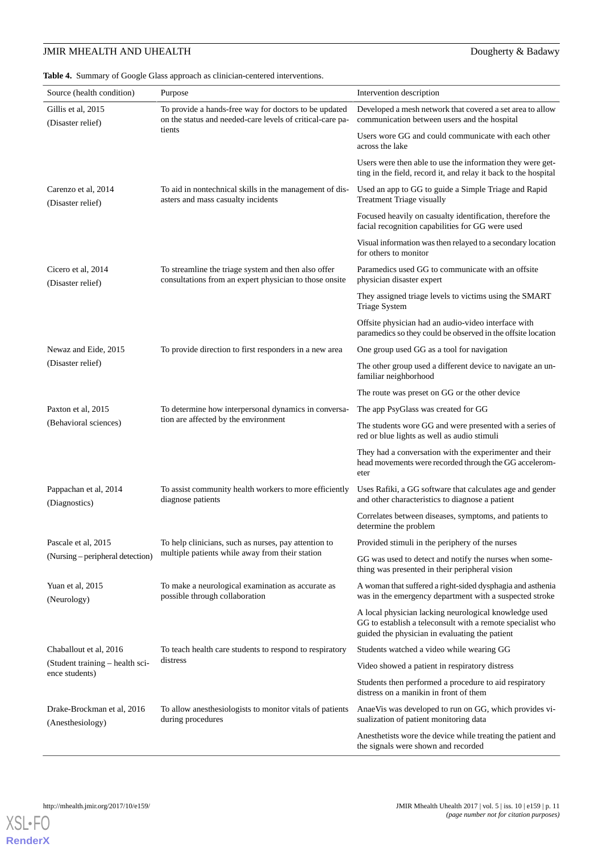<span id="page-10-0"></span>**Table 4.** Summary of Google Glass approach as clinician-centered interventions.

| Source (health condition)                      | Purpose                                                                                                       | Intervention description                                                                                                                                              |
|------------------------------------------------|---------------------------------------------------------------------------------------------------------------|-----------------------------------------------------------------------------------------------------------------------------------------------------------------------|
| Gillis et al, 2015                             | To provide a hands-free way for doctors to be updated                                                         | Developed a mesh network that covered a set area to allow                                                                                                             |
| (Disaster relief)                              | on the status and needed-care levels of critical-care pa-                                                     | communication between users and the hospital                                                                                                                          |
|                                                | tients                                                                                                        | Users wore GG and could communicate with each other<br>across the lake                                                                                                |
|                                                |                                                                                                               | Users were then able to use the information they were get-<br>ting in the field, record it, and relay it back to the hospital                                         |
| Carenzo et al, 2014<br>(Disaster relief)       | To aid in nontechnical skills in the management of dis-<br>asters and mass casualty incidents                 | Used an app to GG to guide a Simple Triage and Rapid<br>Treatment Triage visually                                                                                     |
|                                                |                                                                                                               | Focused heavily on casualty identification, therefore the<br>facial recognition capabilities for GG were used                                                         |
|                                                |                                                                                                               | Visual information was then relayed to a secondary location<br>for others to monitor                                                                                  |
| Cicero et al, 2014<br>(Disaster relief)        | To streamline the triage system and then also offer<br>consultations from an expert physician to those onsite | Paramedics used GG to communicate with an offsite<br>physician disaster expert                                                                                        |
|                                                |                                                                                                               | They assigned triage levels to victims using the SMART<br>Triage System                                                                                               |
|                                                |                                                                                                               | Offsite physician had an audio-video interface with<br>paramedics so they could be observed in the offsite location                                                   |
| Newaz and Eide, 2015                           | To provide direction to first responders in a new area                                                        | One group used GG as a tool for navigation                                                                                                                            |
| (Disaster relief)                              |                                                                                                               | The other group used a different device to navigate an un-<br>familiar neighborhood                                                                                   |
|                                                |                                                                                                               | The route was preset on GG or the other device                                                                                                                        |
| Paxton et al, 2015                             | To determine how interpersonal dynamics in conversa-                                                          | The app PsyGlass was created for GG                                                                                                                                   |
| (Behavioral sciences)                          | tion are affected by the environment                                                                          | The students wore GG and were presented with a series of<br>red or blue lights as well as audio stimuli                                                               |
|                                                |                                                                                                               | They had a conversation with the experimenter and their<br>head movements were recorded through the GG accelerom-<br>eter                                             |
| Pappachan et al, 2014<br>(Diagnostics)         | To assist community health workers to more efficiently<br>diagnose patients                                   | Uses Rafiki, a GG software that calculates age and gender<br>and other characteristics to diagnose a patient                                                          |
|                                                |                                                                                                               | Correlates between diseases, symptoms, and patients to<br>determine the problem                                                                                       |
| Pascale et al, 2015                            | To help clinicians, such as nurses, pay attention to                                                          | Provided stimuli in the periphery of the nurses                                                                                                                       |
| (Nursing – peripheral detection)               | multiple patients while away from their station                                                               | GG was used to detect and notify the nurses when some-<br>thing was presented in their peripheral vision                                                              |
| Yuan et al, 2015<br>(Neurology)                | To make a neurological examination as accurate as<br>possible through collaboration                           | A woman that suffered a right-sided dysphagia and asthenia<br>was in the emergency department with a suspected stroke                                                 |
|                                                |                                                                                                               | A local physician lacking neurological knowledge used<br>GG to establish a teleconsult with a remote specialist who<br>guided the physician in evaluating the patient |
| Chaballout et al, 2016                         | To teach health care students to respond to respiratory                                                       | Students watched a video while wearing GG                                                                                                                             |
| (Student training – health sci-                | distress                                                                                                      | Video showed a patient in respiratory distress                                                                                                                        |
| ence students)                                 |                                                                                                               | Students then performed a procedure to aid respiratory<br>distress on a manikin in front of them                                                                      |
| Drake-Brockman et al, 2016<br>(Anesthesiology) | To allow an esthesiologists to monitor vitals of patients<br>during procedures                                | AnaeVis was developed to run on GG, which provides vi-<br>sualization of patient monitoring data                                                                      |
|                                                |                                                                                                               | Anesthetists wore the device while treating the patient and<br>the signals were shown and recorded                                                                    |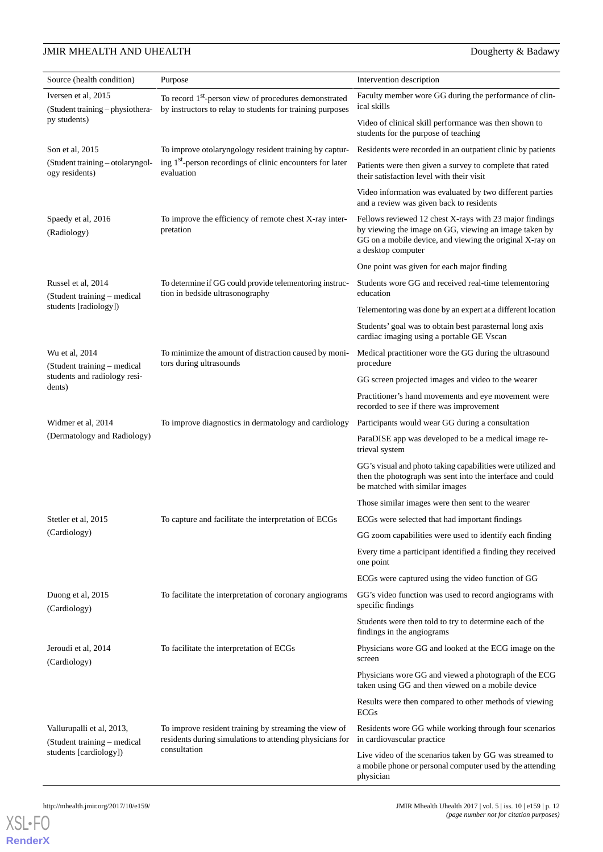| Source (health condition)                                | Purpose                                                                                                                        | Intervention description                                                                                                                                                                           |
|----------------------------------------------------------|--------------------------------------------------------------------------------------------------------------------------------|----------------------------------------------------------------------------------------------------------------------------------------------------------------------------------------------------|
| Iversen et al, 2015<br>(Student training – physiothera-  | To record 1 <sup>st</sup> -person view of procedures demonstrated<br>by instructors to relay to students for training purposes | Faculty member wore GG during the performance of clin-<br>ical skills                                                                                                                              |
| py students)                                             |                                                                                                                                | Video of clinical skill performance was then shown to<br>students for the purpose of teaching                                                                                                      |
| Son et al, 2015                                          | To improve otolaryngology resident training by captur-                                                                         | Residents were recorded in an outpatient clinic by patients                                                                                                                                        |
| (Student training – otolaryngol-<br>ogy residents)       | ing 1 <sup>st</sup> -person recordings of clinic encounters for later<br>evaluation                                            | Patients were then given a survey to complete that rated<br>their satisfaction level with their visit                                                                                              |
|                                                          |                                                                                                                                | Video information was evaluated by two different parties<br>and a review was given back to residents                                                                                               |
| Spaedy et al, 2016<br>(Radiology)                        | To improve the efficiency of remote chest X-ray inter-<br>pretation                                                            | Fellows reviewed 12 chest X-rays with 23 major findings<br>by viewing the image on GG, viewing an image taken by<br>GG on a mobile device, and viewing the original X-ray on<br>a desktop computer |
|                                                          |                                                                                                                                | One point was given for each major finding                                                                                                                                                         |
| Russel et al, 2014<br>(Student training – medical        | To determine if GG could provide telementoring instruc-<br>tion in bedside ultrasonography                                     | Students wore GG and received real-time telementoring<br>education                                                                                                                                 |
| students [radiology])                                    |                                                                                                                                | Telementoring was done by an expert at a different location                                                                                                                                        |
|                                                          |                                                                                                                                | Students' goal was to obtain best parasternal long axis<br>cardiac imaging using a portable GE Vscan                                                                                               |
| Wu et al, 2014<br>(Student training – medical            | To minimize the amount of distraction caused by moni-<br>tors during ultrasounds                                               | Medical practitioner wore the GG during the ultrasound<br>procedure                                                                                                                                |
| students and radiology resi-<br>dents)                   |                                                                                                                                | GG screen projected images and video to the wearer                                                                                                                                                 |
|                                                          |                                                                                                                                | Practitioner's hand movements and eye movement were<br>recorded to see if there was improvement                                                                                                    |
| Widmer et al, 2014                                       | To improve diagnostics in dermatology and cardiology                                                                           | Participants would wear GG during a consultation                                                                                                                                                   |
| (Dermatology and Radiology)                              |                                                                                                                                | ParaDISE app was developed to be a medical image re-<br>trieval system                                                                                                                             |
|                                                          |                                                                                                                                | GG's visual and photo taking capabilities were utilized and<br>then the photograph was sent into the interface and could<br>be matched with similar images                                         |
|                                                          |                                                                                                                                | Those similar images were then sent to the wearer                                                                                                                                                  |
| Stetler et al. 2015                                      | To capture and facilitate the interpretation of ECGs                                                                           | ECGs were selected that had important findings                                                                                                                                                     |
| (Cardiology)                                             |                                                                                                                                | GG zoom capabilities were used to identify each finding                                                                                                                                            |
|                                                          |                                                                                                                                | Every time a participant identified a finding they received<br>one point                                                                                                                           |
|                                                          |                                                                                                                                | ECGs were captured using the video function of GG                                                                                                                                                  |
| Duong et al, 2015<br>(Cardiology)                        | To facilitate the interpretation of coronary angiograms                                                                        | GG's video function was used to record angiograms with<br>specific findings                                                                                                                        |
|                                                          |                                                                                                                                | Students were then told to try to determine each of the<br>findings in the angiograms                                                                                                              |
| Jeroudi et al, 2014<br>(Cardiology)                      | To facilitate the interpretation of ECGs                                                                                       | Physicians wore GG and looked at the ECG image on the<br>screen                                                                                                                                    |
|                                                          |                                                                                                                                | Physicians wore GG and viewed a photograph of the ECG<br>taken using GG and then viewed on a mobile device                                                                                         |
|                                                          |                                                                                                                                | Results were then compared to other methods of viewing<br><b>ECGs</b>                                                                                                                              |
| Vallurupalli et al, 2013,<br>(Student training - medical | To improve resident training by streaming the view of<br>residents during simulations to attending physicians for              | Residents wore GG while working through four scenarios<br>in cardiovascular practice                                                                                                               |
| students [cardiology])                                   | consultation                                                                                                                   | Live video of the scenarios taken by GG was streamed to<br>a mobile phone or personal computer used by the attending<br>physician                                                                  |



**[RenderX](http://www.renderx.com/)**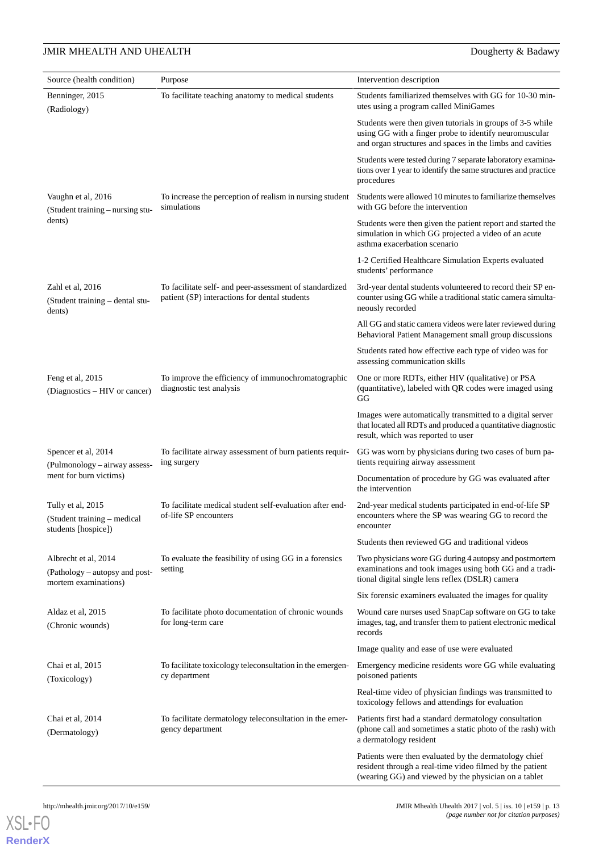| Source (health condition)                                                      | Purpose                                                                                                  | Intervention description                                                                                                                                                         |
|--------------------------------------------------------------------------------|----------------------------------------------------------------------------------------------------------|----------------------------------------------------------------------------------------------------------------------------------------------------------------------------------|
| Benninger, 2015<br>(Radiology)                                                 | To facilitate teaching anatomy to medical students                                                       | Students familiarized themselves with GG for 10-30 min-<br>utes using a program called MiniGames                                                                                 |
|                                                                                |                                                                                                          | Students were then given tutorials in groups of 3-5 while<br>using GG with a finger probe to identify neuromuscular<br>and organ structures and spaces in the limbs and cavities |
|                                                                                |                                                                                                          | Students were tested during 7 separate laboratory examina-<br>tions over 1 year to identify the same structures and practice<br>procedures                                       |
| Vaughn et al, 2016<br>(Student training – nursing stu-                         | To increase the perception of realism in nursing student<br>simulations                                  | Students were allowed 10 minutes to familiarize themselves<br>with GG before the intervention                                                                                    |
| dents)                                                                         |                                                                                                          | Students were then given the patient report and started the<br>simulation in which GG projected a video of an acute<br>asthma exacerbation scenario                              |
|                                                                                |                                                                                                          | 1-2 Certified Healthcare Simulation Experts evaluated<br>students' performance                                                                                                   |
| Zahl et al, 2016<br>(Student training – dental stu-<br>dents)                  | To facilitate self- and peer-assessment of standardized<br>patient (SP) interactions for dental students | 3rd-year dental students volunteered to record their SP en-<br>counter using GG while a traditional static camera simulta-<br>neously recorded                                   |
|                                                                                |                                                                                                          | All GG and static camera videos were later reviewed during<br>Behavioral Patient Management small group discussions                                                              |
|                                                                                |                                                                                                          | Students rated how effective each type of video was for<br>assessing communication skills                                                                                        |
| Feng et al, 2015<br>(Diagnostics – HIV or cancer)                              | To improve the efficiency of immunochromatographic<br>diagnostic test analysis                           | One or more RDTs, either HIV (qualitative) or PSA<br>(quantitative), labeled with QR codes were imaged using<br>GG                                                               |
|                                                                                |                                                                                                          | Images were automatically transmitted to a digital server<br>that located all RDTs and produced a quantitative diagnostic<br>result, which was reported to user                  |
| Spencer et al, 2014<br>(Pulmonology - airway assess-                           | To facilitate airway assessment of burn patients requir-<br>ing surgery                                  | GG was worn by physicians during two cases of burn pa-<br>tients requiring airway assessment                                                                                     |
| ment for burn victims)                                                         |                                                                                                          | Documentation of procedure by GG was evaluated after<br>the intervention                                                                                                         |
| Tully et al, 2015<br>(Student training - medical<br>students [hospice])        | To facilitate medical student self-evaluation after end-<br>of-life SP encounters                        | 2nd-year medical students participated in end-of-life SP<br>encounters where the SP was wearing GG to record the<br>encounter                                                    |
|                                                                                |                                                                                                          | Students then reviewed GG and traditional videos                                                                                                                                 |
| Albrecht et al, 2014<br>(Pathology – autopsy and post-<br>mortem examinations) | To evaluate the feasibility of using GG in a forensics<br>setting                                        | Two physicians wore GG during 4 autopsy and postmortem<br>examinations and took images using both GG and a tradi-<br>tional digital single lens reflex (DSLR) camera             |
|                                                                                |                                                                                                          | Six forensic examiners evaluated the images for quality                                                                                                                          |
| Aldaz et al, 2015<br>(Chronic wounds)                                          | To facilitate photo documentation of chronic wounds<br>for long-term care                                | Wound care nurses used SnapCap software on GG to take<br>images, tag, and transfer them to patient electronic medical<br>records                                                 |
|                                                                                |                                                                                                          | Image quality and ease of use were evaluated                                                                                                                                     |
| Chai et al, 2015<br>(Toxicology)                                               | To facilitate toxicology teleconsultation in the emergen-<br>cy department                               | Emergency medicine residents wore GG while evaluating<br>poisoned patients                                                                                                       |
|                                                                                |                                                                                                          | Real-time video of physician findings was transmitted to<br>toxicology fellows and attendings for evaluation                                                                     |
| Chai et al, 2014<br>(Dermatology)                                              | To facilitate dermatology teleconsultation in the emer-<br>gency department                              | Patients first had a standard dermatology consultation<br>(phone call and sometimes a static photo of the rash) with<br>a dermatology resident                                   |
|                                                                                |                                                                                                          | Patients were then evaluated by the dermatology chief<br>resident through a real-time video filmed by the patient<br>(wearing GG) and viewed by the physician on a tablet        |

[XSL](http://www.w3.org/Style/XSL)•FO **[RenderX](http://www.renderx.com/)**

http://mhealth.jmir.org/2017/10/e159/ JMIR Mhealth Uhealth Uhealth 2017 | vol. 5 | iss. 10 | e159 | p. 13 *(page number not for citation purposes)*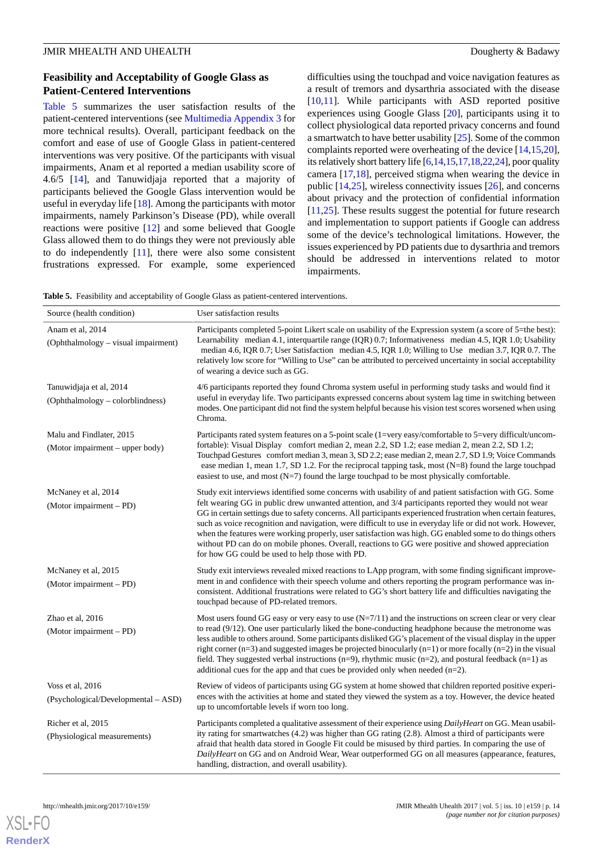### **Feasibility and Acceptability of Google Glass as Patient-Centered Interventions**

[Table 5](#page-13-0) summarizes the user satisfaction results of the patient-centered interventions (see [Multimedia Appendix 3](#page-17-5) for more technical results). Overall, participant feedback on the comfort and ease of use of Google Glass in patient-centered interventions was very positive. Of the participants with visual impairments, Anam et al reported a median usability score of 4.6/5 [\[14](#page-18-4)], and Tanuwidjaja reported that a majority of participants believed the Google Glass intervention would be useful in everyday life [[18\]](#page-18-5). Among the participants with motor impairments, namely Parkinson's Disease (PD), while overall reactions were positive [[12\]](#page-18-13) and some believed that Google Glass allowed them to do things they were not previously able to do independently [[11\]](#page-18-12), there were also some consistent frustrations expressed. For example, some experienced difficulties using the touchpad and voice navigation features as a result of tremors and dysarthria associated with the disease [[10,](#page-18-11)[11\]](#page-18-12). While participants with ASD reported positive experiences using Google Glass [\[20](#page-18-7)], participants using it to collect physiological data reported privacy concerns and found a smartwatch to have better usability [[25](#page-19-3)]. Some of the common complaints reported were overheating of the device [[14](#page-18-4)[,15](#page-18-15),[20\]](#page-18-7), its relatively short battery life [[6,](#page-18-2)[14](#page-18-4)[,15](#page-18-15)[,17](#page-18-19)[,18](#page-18-5),[22](#page-18-18),[24](#page-19-2)], poor quality camera [[17](#page-18-19)[,18](#page-18-5)], perceived stigma when wearing the device in public [\[14](#page-18-4),[25\]](#page-19-3), wireless connectivity issues [[26\]](#page-19-0), and concerns about privacy and the protection of confidential information [[11,](#page-18-12)[25\]](#page-19-3). These results suggest the potential for future research and implementation to support patients if Google can address some of the device's technological limitations. However, the issues experienced by PD patients due to dysarthria and tremors should be addressed in interventions related to motor impairments.

<span id="page-13-0"></span>**Table 5.** Feasibility and acceptability of Google Glass as patient-centered interventions.

| Source (health condition)                                   | User satisfaction results                                                                                                                                                                                                                                                                                                                                                                                                                                                                                                                                                                                                                                                                                            |
|-------------------------------------------------------------|----------------------------------------------------------------------------------------------------------------------------------------------------------------------------------------------------------------------------------------------------------------------------------------------------------------------------------------------------------------------------------------------------------------------------------------------------------------------------------------------------------------------------------------------------------------------------------------------------------------------------------------------------------------------------------------------------------------------|
| Anam et al, 2014<br>(Ophthalmology – visual impairment)     | Participants completed 5-point Likert scale on usability of the Expression system (a score of 5=the best):<br>Learnability median 4.1, interquartile range (IQR) 0.7; Informativeness median 4.5, IQR 1.0; Usability<br>median 4.6, IQR 0.7; User Satisfaction median 4.5, IQR 1.0; Willing to Use median 3.7, IQR 0.7. The<br>relatively low score for "Willing to Use" can be attributed to perceived uncertainty in social acceptability<br>of wearing a device such as GG.                                                                                                                                                                                                                                       |
| Tanuwidjaja et al, 2014<br>(Ophthalmology - colorblindness) | 4/6 participants reported they found Chroma system useful in performing study tasks and would find it<br>useful in everyday life. Two participants expressed concerns about system lag time in switching between<br>modes. One participant did not find the system helpful because his vision test scores worsened when using<br>Chroma.                                                                                                                                                                                                                                                                                                                                                                             |
| Malu and Findlater, 2015<br>(Motor impairment - upper body) | Participants rated system features on a 5-point scale (1=very easy/comfortable to 5=very difficult/uncom-<br>fortable): Visual Display comfort median 2, mean 2.2, SD 1.2; ease median 2, mean 2.2, SD 1.2;<br>Touchpad Gestures comfort median 3, mean 3, SD 2.2; ease median 2, mean 2.7, SD 1.9; Voice Commands<br>ease median 1, mean 1.7, SD 1.2. For the reciprocal tapping task, most (N=8) found the large touchpad<br>easiest to use, and most $(N=7)$ found the large touchpad to be most physically comfortable.                                                                                                                                                                                          |
| McNaney et al, 2014<br>(Motor impairment – PD)              | Study exit interviews identified some concerns with usability of and patient satisfaction with GG. Some<br>felt wearing GG in public drew unwanted attention, and 3/4 participants reported they would not wear<br>GG in certain settings due to safety concerns. All participants experienced frustration when certain features,<br>such as voice recognition and navigation, were difficult to use in everyday life or did not work. However,<br>when the features were working properly, user satisfaction was high. GG enabled some to do things others<br>without PD can do on mobile phones. Overall, reactions to GG were positive and showed appreciation<br>for how GG could be used to help those with PD. |
| McNaney et al, 2015<br>(Motor impairment – PD)              | Study exit interviews revealed mixed reactions to LApp program, with some finding significant improve-<br>ment in and confidence with their speech volume and others reporting the program performance was in-<br>consistent. Additional frustrations were related to GG's short battery life and difficulties navigating the<br>touchpad because of PD-related tremors.                                                                                                                                                                                                                                                                                                                                             |
| Zhao et al, 2016<br>(Motor impairment – PD)                 | Most users found GG easy or very easy to use $(N=7/11)$ and the instructions on screen clear or very clear<br>to read $(9/12)$ . One user particularly liked the bone-conducting headphone because the metronome was<br>less audible to others around. Some participants disliked GG's placement of the visual display in the upper<br>right corner ( $n=3$ ) and suggested images be projected binocularly ( $n=1$ ) or more focally ( $n=2$ ) in the visual<br>field. They suggested verbal instructions ( $n=9$ ), rhythmic music ( $n=2$ ), and postural feedback ( $n=1$ ) as<br>additional cues for the app and that cues be provided only when needed $(n=2)$ .                                               |
| Voss et al, 2016<br>(Psychological/Developmental – ASD)     | Review of videos of participants using GG system at home showed that children reported positive experi-<br>ences with the activities at home and stated they viewed the system as a toy. However, the device heated<br>up to uncomfortable levels if worn too long.                                                                                                                                                                                                                                                                                                                                                                                                                                                  |
| Richer et al, 2015<br>(Physiological measurements)          | Participants completed a qualitative assessment of their experience using DailyHeart on GG. Mean usabil-<br>ity rating for smartwatches (4.2) was higher than GG rating (2.8). Almost a third of participants were<br>afraid that health data stored in Google Fit could be misused by third parties. In comparing the use of<br>DailyHeart on GG and on Android Wear, Wear outperformed GG on all measures (appearance, features,<br>handling, distraction, and overall usability).                                                                                                                                                                                                                                 |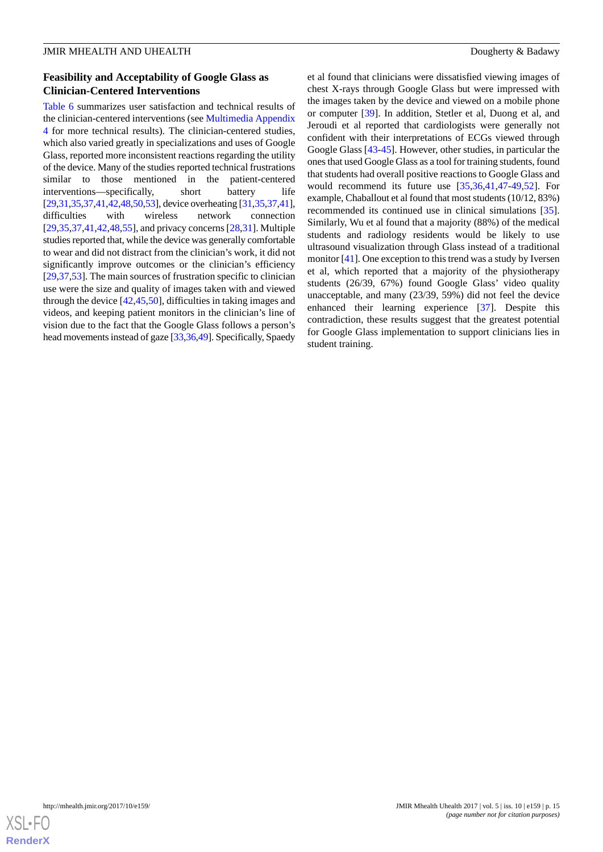### **Feasibility and Acceptability of Google Glass as Clinician-Centered Interventions**

[Table 6](#page-15-0) summarizes user satisfaction and technical results of the clinician-centered interventions (see [Multimedia Appendix](#page-17-6) [4](#page-17-6) for more technical results). The clinician-centered studies, which also varied greatly in specializations and uses of Google Glass, reported more inconsistent reactions regarding the utility of the device. Many of the studies reported technical frustrations similar to those mentioned in the patient-centered interventions—specifically, short battery life [[29,](#page-19-18)[31](#page-19-12)[,35](#page-19-4)[,37](#page-19-5),[41](#page-19-8)[,42](#page-19-15)[,48](#page-20-2)[,50](#page-20-5),[53\]](#page-20-6), device overheating [\[31](#page-19-12),[35](#page-19-4),[37,](#page-19-5)[41\]](#page-19-8), difficulties with wireless network connection [[29](#page-19-18)[,35](#page-19-4),[37](#page-19-5)[,41](#page-19-8),[42](#page-19-15)[,48](#page-20-2),[55\]](#page-20-11), and privacy concerns [[28,](#page-19-19)[31\]](#page-19-12). Multiple studies reported that, while the device was generally comfortable to wear and did not distract from the clinician's work, it did not significantly improve outcomes or the clinician's efficiency [[29](#page-19-18)[,37](#page-19-5),[53\]](#page-20-6). The main sources of frustration specific to clinician use were the size and quality of images taken with and viewed through the device [[42,](#page-19-15)[45](#page-20-8)[,50](#page-20-5)], difficulties in taking images and videos, and keeping patient monitors in the clinician's line of vision due to the fact that the Google Glass follows a person's head movements instead of gaze [[33](#page-19-11),[36,](#page-19-17)[49\]](#page-20-3). Specifically, Spaedy

et al found that clinicians were dissatisfied viewing images of chest X-rays through Google Glass but were impressed with the images taken by the device and viewed on a mobile phone or computer [\[39](#page-19-14)]. In addition, Stetler et al, Duong et al, and Jeroudi et al reported that cardiologists were generally not confident with their interpretations of ECGs viewed through Google Glass [\[43](#page-19-13)[-45](#page-20-8)]. However, other studies, in particular the ones that used Google Glass as a tool for training students, found that students had overall positive reactions to Google Glass and would recommend its future use [\[35](#page-19-4),[36,](#page-19-17)[41](#page-19-8),[47-](#page-20-9)[49,](#page-20-3)[52\]](#page-20-4). For example, Chaballout et al found that most students (10/12, 83%) recommended its continued use in clinical simulations [[35\]](#page-19-4). Similarly, Wu et al found that a majority (88%) of the medical students and radiology residents would be likely to use ultrasound visualization through Glass instead of a traditional monitor [\[41](#page-19-8)]. One exception to this trend was a study by Iversen et al, which reported that a majority of the physiotherapy students (26/39, 67%) found Google Glass' video quality unacceptable, and many (23/39, 59%) did not feel the device enhanced their learning experience [\[37](#page-19-5)]. Despite this contradiction, these results suggest that the greatest potential for Google Glass implementation to support clinicians lies in student training.

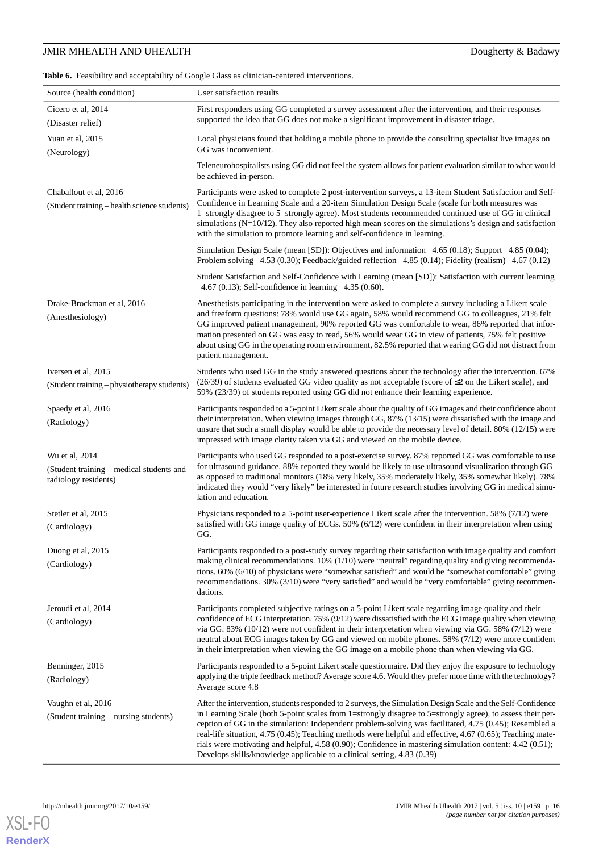<span id="page-15-0"></span>**Table 6.** Feasibility and acceptability of Google Glass as clinician-centered interventions.

| Source (health condition)                                                          | User satisfaction results                                                                                                                                                                                                                                                                                                                                                                                                                                                                                                                                                                                                                     |
|------------------------------------------------------------------------------------|-----------------------------------------------------------------------------------------------------------------------------------------------------------------------------------------------------------------------------------------------------------------------------------------------------------------------------------------------------------------------------------------------------------------------------------------------------------------------------------------------------------------------------------------------------------------------------------------------------------------------------------------------|
| Cicero et al, 2014<br>(Disaster relief)                                            | First responders using GG completed a survey assessment after the intervention, and their responses<br>supported the idea that GG does not make a significant improvement in disaster triage.                                                                                                                                                                                                                                                                                                                                                                                                                                                 |
| Yuan et al, 2015<br>(Neurology)                                                    | Local physicians found that holding a mobile phone to provide the consulting specialist live images on<br>GG was inconvenient.                                                                                                                                                                                                                                                                                                                                                                                                                                                                                                                |
|                                                                                    | Teleneurohospitalists using GG did not feel the system allows for patient evaluation similar to what would<br>be achieved in-person.                                                                                                                                                                                                                                                                                                                                                                                                                                                                                                          |
| Chaballout et al, 2016<br>(Student training - health science students)             | Participants were asked to complete 2 post-intervention surveys, a 13-item Student Satisfaction and Self-<br>Confidence in Learning Scale and a 20-item Simulation Design Scale (scale for both measures was<br>1=strongly disagree to 5=strongly agree). Most students recommended continued use of GG in clinical<br>simulations ( $N=10/12$ ). They also reported high mean scores on the simulations's design and satisfaction<br>with the simulation to promote learning and self-confidence in learning.                                                                                                                                |
|                                                                                    | Simulation Design Scale (mean [SD]): Objectives and information 4.65 (0.18); Support 4.85 (0.04);<br>Problem solving 4.53 (0.30); Feedback/guided reflection 4.85 (0.14); Fidelity (realism) 4.67 (0.12)                                                                                                                                                                                                                                                                                                                                                                                                                                      |
|                                                                                    | Student Satisfaction and Self-Confidence with Learning (mean [SD]): Satisfaction with current learning<br>4.67 (0.13); Self-confidence in learning $4.35$ (0.60).                                                                                                                                                                                                                                                                                                                                                                                                                                                                             |
| Drake-Brockman et al, 2016<br>(Anesthesiology)                                     | Anesthetists participating in the intervention were asked to complete a survey including a Likert scale<br>and freeform questions: 78% would use GG again, 58% would recommend GG to colleagues, 21% felt<br>GG improved patient management, 90% reported GG was comfortable to wear, 86% reported that infor-<br>mation presented on GG was easy to read, 56% would wear GG in view of patients, 75% felt positive<br>about using GG in the operating room environment, 82.5% reported that wearing GG did not distract from<br>patient management.                                                                                          |
| Iversen et al, 2015<br>(Student training – physiotherapy students)                 | Students who used GG in the study answered questions about the technology after the intervention. 67%<br>$(26/39)$ of students evaluated GG video quality as not acceptable (score of $\leq$ 2 on the Likert scale), and<br>59% (23/39) of students reported using GG did not enhance their learning experience.                                                                                                                                                                                                                                                                                                                              |
| Spaedy et al, 2016<br>(Radiology)                                                  | Participants responded to a 5-point Likert scale about the quality of GG images and their confidence about<br>their interpretation. When viewing images through GG, 87% (13/15) were dissatisfied with the image and<br>unsure that such a small display would be able to provide the necessary level of detail. 80% (12/15) were<br>impressed with image clarity taken via GG and viewed on the mobile device.                                                                                                                                                                                                                               |
| Wu et al, 2014<br>(Student training – medical students and<br>radiology residents) | Participants who used GG responded to a post-exercise survey. 87% reported GG was comfortable to use<br>for ultrasound guidance. 88% reported they would be likely to use ultrasound visualization through GG<br>as opposed to traditional monitors (18% very likely, 35% moderately likely, 35% somewhat likely). 78%<br>indicated they would "very likely" be interested in future research studies involving GG in medical simu-<br>lation and education.                                                                                                                                                                                  |
| Stetler et al, 2015<br>(Cardiology)                                                | Physicians responded to a 5-point user-experience Likert scale after the intervention. 58% (7/12) were<br>satisfied with GG image quality of ECGs. 50% (6/12) were confident in their interpretation when using<br>GG.                                                                                                                                                                                                                                                                                                                                                                                                                        |
| Duong et al, 2015<br>(Cardiology)                                                  | Participants responded to a post-study survey regarding their satisfaction with image quality and comfort<br>making clinical recommendations. $10\%$ ( $1/10$ ) were "neutral" regarding quality and giving recommenda-<br>tions. 60% (6/10) of physicians were "somewhat satisfied" and would be "somewhat comfortable" giving<br>recommendations. 30% (3/10) were "very satisfied" and would be "very comfortable" giving recommen-<br>dations.                                                                                                                                                                                             |
| Jeroudi et al, 2014<br>(Cardiology)                                                | Participants completed subjective ratings on a 5-point Likert scale regarding image quality and their<br>confidence of ECG interpretation. 75% (9/12) were dissatisfied with the ECG image quality when viewing<br>via GG. 83% (10/12) were not confident in their interpretation when viewing via GG. 58% (7/12) were<br>neutral about ECG images taken by GG and viewed on mobile phones. 58% (7/12) were more confident<br>in their interpretation when viewing the GG image on a mobile phone than when viewing via GG.                                                                                                                   |
| Benninger, 2015<br>(Radiology)                                                     | Participants responded to a 5-point Likert scale questionnaire. Did they enjoy the exposure to technology<br>applying the triple feedback method? Average score 4.6. Would they prefer more time with the technology?<br>Average score 4.8                                                                                                                                                                                                                                                                                                                                                                                                    |
| Vaughn et al, 2016<br>(Student training – nursing students)                        | After the intervention, students responded to 2 surveys, the Simulation Design Scale and the Self-Confidence<br>in Learning Scale (both 5-point scales from 1=strongly disagree to 5=strongly agree), to assess their per-<br>ception of GG in the simulation: Independent problem-solving was facilitated, 4.75 (0.45); Resembled a<br>real-life situation, $4.75(0.45)$ ; Teaching methods were helpful and effective, $4.67(0.65)$ ; Teaching mate-<br>rials were motivating and helpful, 4.58 (0.90); Confidence in mastering simulation content: 4.42 (0.51);<br>Develops skills/knowledge applicable to a clinical setting, 4.83 (0.39) |

**[RenderX](http://www.renderx.com/)**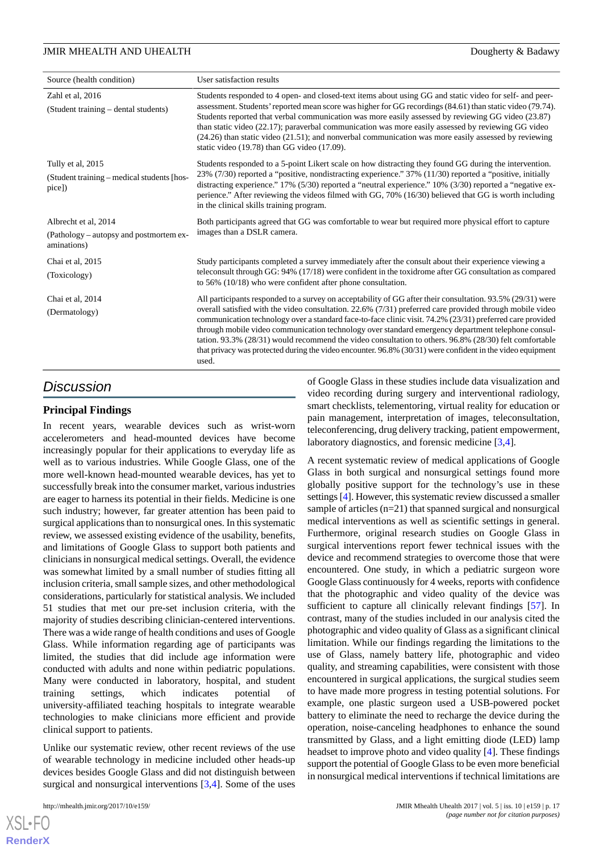| Source (health condition)                                                      | User satisfaction results                                                                                                                                                                                                                                                                                                                                                                                                                                                                                                                                                                                                                                                  |
|--------------------------------------------------------------------------------|----------------------------------------------------------------------------------------------------------------------------------------------------------------------------------------------------------------------------------------------------------------------------------------------------------------------------------------------------------------------------------------------------------------------------------------------------------------------------------------------------------------------------------------------------------------------------------------------------------------------------------------------------------------------------|
| Zahl et al, 2016<br>(Student training - dental students)                       | Students responded to 4 open- and closed-text items about using GG and static video for self- and peer-<br>assessment. Students' reported mean score was higher for GG recordings (84.61) than static video (79.74).<br>Students reported that verbal communication was more easily assessed by reviewing GG video (23.87)<br>than static video (22.17); paraverbal communication was more easily assessed by reviewing GG video<br>(24.26) than static video (21.51); and nonverbal communication was more easily assessed by reviewing<br>static video (19.78) than GG video (17.09).                                                                                    |
| Tully et al, 2015<br>(Student training – medical students [hos-<br>pice)       | Students responded to a 5-point Likert scale on how distracting they found GG during the intervention.<br>23% (7/30) reported a "positive, nondistracting experience." 37% (11/30) reported a "positive, initially<br>distracting experience." 17% (5/30) reported a "neutral experience." 10% (3/30) reported a "negative ex-<br>perience." After reviewing the videos filmed with GG, 70% (16/30) believed that GG is worth including<br>in the clinical skills training program.                                                                                                                                                                                        |
| Albrecht et al, 2014<br>(Pathology – autopsy and postmortem ex-<br>aminations) | Both participants agreed that GG was comfortable to wear but required more physical effort to capture<br>images than a DSLR camera.                                                                                                                                                                                                                                                                                                                                                                                                                                                                                                                                        |
| Chai et al, 2015<br>(Toxicology)                                               | Study participants completed a survey immediately after the consult about their experience viewing a<br>teleconsult through GG: 94% (17/18) were confident in the toxidrome after GG consultation as compared<br>to $56\%$ (10/18) who were confident after phone consultation.                                                                                                                                                                                                                                                                                                                                                                                            |
| Chai et al, 2014<br>(Dermatology)                                              | All participants responded to a survey on acceptability of GG after their consultation. 93.5% (29/31) were<br>overall satisfied with the video consultation. 22.6% (7/31) preferred care provided through mobile video<br>communication technology over a standard face-to-face clinic visit. 74.2% (23/31) preferred care provided<br>through mobile video communication technology over standard emergency department telephone consul-<br>tation. 93.3% (28/31) would recommend the video consultation to others. 96.8% (28/30) felt comfortable<br>that privacy was protected during the video encounter. 96.8% (30/31) were confident in the video equipment<br>used. |
|                                                                                | of Google Glass in those studies include data visualization and                                                                                                                                                                                                                                                                                                                                                                                                                                                                                                                                                                                                            |

# *Discussion*

### **Principal Findings**

In recent years, wearable devices such as wrist-worn accelerometers and head-mounted devices have become increasingly popular for their applications to everyday life as well as to various industries. While Google Glass, one of the more well-known head-mounted wearable devices, has yet to successfully break into the consumer market, various industries are eager to harness its potential in their fields. Medicine is one such industry; however, far greater attention has been paid to surgical applications than to nonsurgical ones. In this systematic review, we assessed existing evidence of the usability, benefits, and limitations of Google Glass to support both patients and clinicians in nonsurgical medical settings. Overall, the evidence was somewhat limited by a small number of studies fitting all inclusion criteria, small sample sizes, and other methodological considerations, particularly for statistical analysis. We included 51 studies that met our pre-set inclusion criteria, with the majority of studies describing clinician-centered interventions. There was a wide range of health conditions and uses of Google Glass. While information regarding age of participants was limited, the studies that did include age information were conducted with adults and none within pediatric populations. Many were conducted in laboratory, hospital, and student training settings, which indicates potential of university-affiliated teaching hospitals to integrate wearable technologies to make clinicians more efficient and provide clinical support to patients.

Unlike our systematic review, other recent reviews of the use of wearable technology in medicine included other heads-up devices besides Google Glass and did not distinguish between surgical and nonsurgical interventions [[3](#page-17-2)[,4](#page-18-0)]. Some of the uses

 $X$ SL•F $O$ **[RenderX](http://www.renderx.com/)** of Google Glass in these studies include data visualization and video recording during surgery and interventional radiology, smart checklists, telementoring, virtual reality for education or pain management, interpretation of images, teleconsultation, teleconferencing, drug delivery tracking, patient empowerment, laboratory diagnostics, and forensic medicine [\[3](#page-17-2),[4\]](#page-18-0).

A recent systematic review of medical applications of Google Glass in both surgical and nonsurgical settings found more globally positive support for the technology's use in these settings [[4\]](#page-18-0). However, this systematic review discussed a smaller sample of articles (n=21) that spanned surgical and nonsurgical medical interventions as well as scientific settings in general. Furthermore, original research studies on Google Glass in surgical interventions report fewer technical issues with the device and recommend strategies to overcome those that were encountered. One study, in which a pediatric surgeon wore Google Glass continuously for 4 weeks, reports with confidence that the photographic and video quality of the device was sufficient to capture all clinically relevant findings [\[57](#page-20-12)]. In contrast, many of the studies included in our analysis cited the photographic and video quality of Glass as a significant clinical limitation. While our findings regarding the limitations to the use of Glass, namely battery life, photographic and video quality, and streaming capabilities, were consistent with those encountered in surgical applications, the surgical studies seem to have made more progress in testing potential solutions. For example, one plastic surgeon used a USB-powered pocket battery to eliminate the need to recharge the device during the operation, noise-canceling headphones to enhance the sound transmitted by Glass, and a light emitting diode (LED) lamp headset to improve photo and video quality [[4\]](#page-18-0). These findings support the potential of Google Glass to be even more beneficial in nonsurgical medical interventions if technical limitations are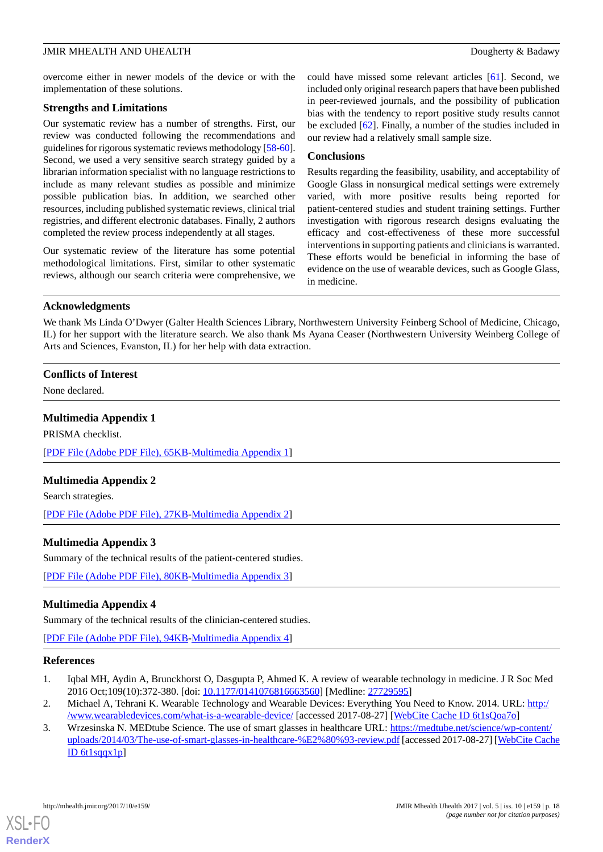overcome either in newer models of the device or with the implementation of these solutions.

#### **Strengths and Limitations**

Our systematic review has a number of strengths. First, our review was conducted following the recommendations and guidelines for rigorous systematic reviews methodology [\[58](#page-20-14)[-60\]](#page-20-15). Second, we used a very sensitive search strategy guided by a librarian information specialist with no language restrictions to include as many relevant studies as possible and minimize possible publication bias. In addition, we searched other resources, including published systematic reviews, clinical trial registries, and different electronic databases. Finally, 2 authors completed the review process independently at all stages.

Our systematic review of the literature has some potential methodological limitations. First, similar to other systematic reviews, although our search criteria were comprehensive, we could have missed some relevant articles [\[61](#page-20-16)]. Second, we included only original research papers that have been published in peer-reviewed journals, and the possibility of publication bias with the tendency to report positive study results cannot be excluded [\[62](#page-20-17)]. Finally, a number of the studies included in our review had a relatively small sample size.

### **Conclusions**

Results regarding the feasibility, usability, and acceptability of Google Glass in nonsurgical medical settings were extremely varied, with more positive results being reported for patient-centered studies and student training settings. Further investigation with rigorous research designs evaluating the efficacy and cost-effectiveness of these more successful interventions in supporting patients and clinicians is warranted. These efforts would be beneficial in informing the base of evidence on the use of wearable devices, such as Google Glass, in medicine.

### **Acknowledgments**

We thank Ms Linda O'Dwyer (Galter Health Sciences Library, Northwestern University Feinberg School of Medicine, Chicago, IL) for her support with the literature search. We also thank Ms Ayana Ceaser (Northwestern University Weinberg College of Arts and Sciences, Evanston, IL) for her help with data extraction.

### <span id="page-17-3"></span>**Conflicts of Interest**

None declared.

### **Multimedia Appendix 1**

<span id="page-17-4"></span>PRISMA checklist.

[[PDF File \(Adobe PDF File\), 65KB-Multimedia Appendix 1](https://jmir.org/api/download?alt_name=mhealth_v5i10e159_app1.pdf&filename=7086845ea216ac80f00bcbbebea587c9.pdf)]

### <span id="page-17-5"></span>**Multimedia Appendix 2**

Search strategies.

[[PDF File \(Adobe PDF File\), 27KB-Multimedia Appendix 2](https://jmir.org/api/download?alt_name=mhealth_v5i10e159_app2.pdf&filename=eaec79aec00f2692ef2ab382fbbdad54.pdf)]

### <span id="page-17-6"></span>**Multimedia Appendix 3**

Summary of the technical results of the patient-centered studies.

[[PDF File \(Adobe PDF File\), 80KB-Multimedia Appendix 3](https://jmir.org/api/download?alt_name=mhealth_v5i10e159_app3.pdf&filename=f2eeafe037854892d4514883dec0a8df.pdf)]

### <span id="page-17-0"></span>**Multimedia Appendix 4**

Summary of the technical results of the clinician-centered studies.

<span id="page-17-1"></span>[[PDF File \(Adobe PDF File\), 94KB-Multimedia Appendix 4](https://jmir.org/api/download?alt_name=mhealth_v5i10e159_app4.pdf&filename=a28b050600aec8efe972aaa93fb7c6cd.pdf)]

### <span id="page-17-2"></span>**References**

- 1. Iqbal MH, Aydin A, Brunckhorst O, Dasgupta P, Ahmed K. A review of wearable technology in medicine. J R Soc Med 2016 Oct;109(10):372-380. [doi: [10.1177/0141076816663560\]](http://dx.doi.org/10.1177/0141076816663560) [Medline: [27729595\]](http://www.ncbi.nlm.nih.gov/entrez/query.fcgi?cmd=Retrieve&db=PubMed&list_uids=27729595&dopt=Abstract)
- 2. Michael A, Tehrani K. Wearable Technology and Wearable Devices: Everything You Need to Know. 2014. URL: [http:/](http://www.wearabledevices.com/what-is-a-wearable-device/) [/www.wearabledevices.com/what-is-a-wearable-device/](http://www.wearabledevices.com/what-is-a-wearable-device/) [accessed 2017-08-27] [[WebCite Cache ID 6t1sQoa7o\]](http://www.webcitation.org/

                                            6t1sQoa7o)
- 3. Wrzesinska N. MEDtube Science. The use of smart glasses in healthcare URL: [https://medtube.net/science/wp-content/](https://medtube.net/science/wp-content/uploads/2014/03/The-use-of-smart-glasses-in-healthcare-%E2%80%93-review.pdf) [uploads/2014/03/The-use-of-smart-glasses-in-healthcare-%E2%80%93-review.pdf](https://medtube.net/science/wp-content/uploads/2014/03/The-use-of-smart-glasses-in-healthcare-%E2%80%93-review.pdf) [accessed 2017-08-27] [[WebCite Cache](http://www.webcitation.org/

                                            6t1sqqx1p) [ID 6t1sqqx1p](http://www.webcitation.org/

                                            6t1sqqx1p)]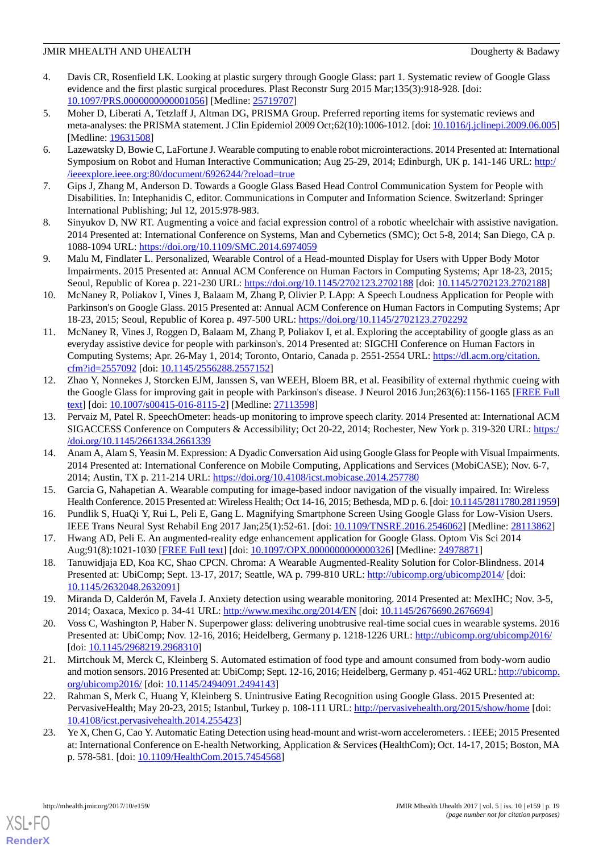- <span id="page-18-0"></span>4. Davis CR, Rosenfield LK. Looking at plastic surgery through Google Glass: part 1. Systematic review of Google Glass evidence and the first plastic surgical procedures. Plast Reconstr Surg 2015 Mar;135(3):918-928. [doi: [10.1097/PRS.0000000000001056](http://dx.doi.org/10.1097/PRS.0000000000001056)] [Medline: [25719707\]](http://www.ncbi.nlm.nih.gov/entrez/query.fcgi?cmd=Retrieve&db=PubMed&list_uids=25719707&dopt=Abstract)
- <span id="page-18-1"></span>5. Moher D, Liberati A, Tetzlaff J, Altman DG, PRISMA Group. Preferred reporting items for systematic reviews and meta-analyses: the PRISMA statement. J Clin Epidemiol 2009 Oct;62(10):1006-1012. [doi: [10.1016/j.jclinepi.2009.06.005\]](http://dx.doi.org/10.1016/j.jclinepi.2009.06.005) [Medline: [19631508](http://www.ncbi.nlm.nih.gov/entrez/query.fcgi?cmd=Retrieve&db=PubMed&list_uids=19631508&dopt=Abstract)]
- <span id="page-18-16"></span><span id="page-18-2"></span>6. Lazewatsky D, Bowie C, LaFortune J. Wearable computing to enable robot microinteractions. 2014 Presented at: International Symposium on Robot and Human Interactive Communication; Aug 25-29, 2014; Edinburgh, UK p. 141-146 URL: [http:/](http://ieeexplore.ieee.org:80/document/6926244/?reload=true) [/ieeexplore.ieee.org:80/document/6926244/?reload=true](http://ieeexplore.ieee.org:80/document/6926244/?reload=true)
- <span id="page-18-17"></span>7. Gips J, Zhang M, Anderson D. Towards a Google Glass Based Head Control Communication System for People with Disabilities. In: Intephanidis C, editor. Communications in Computer and Information Science. Switzerland: Springer International Publishing; Jul 12, 2015:978-983.
- <span id="page-18-10"></span>8. Sinyukov D, NW RT. Augmenting a voice and facial expression control of a robotic wheelchair with assistive navigation. 2014 Presented at: International Conference on Systems, Man and Cybernetics (SMC); Oct 5-8, 2014; San Diego, CA p. 1088-1094 URL: <https://doi.org/10.1109/SMC.2014.6974059>
- <span id="page-18-11"></span>9. Malu M, Findlater L. Personalized, Wearable Control of a Head-mounted Display for Users with Upper Body Motor Impairments. 2015 Presented at: Annual ACM Conference on Human Factors in Computing Systems; Apr 18-23, 2015; Seoul, Republic of Korea p. 221-230 URL:<https://doi.org/10.1145/2702123.2702188> [doi: [10.1145/2702123.2702188\]](http://dx.doi.org/10.1145/2702123.2702188)
- <span id="page-18-12"></span>10. McNaney R, Poliakov I, Vines J, Balaam M, Zhang P, Olivier P. LApp: A Speech Loudness Application for People with Parkinson's on Google Glass. 2015 Presented at: Annual ACM Conference on Human Factors in Computing Systems; Apr 18-23, 2015; Seoul, Republic of Korea p. 497-500 URL:<https://doi.org/10.1145/2702123.2702292>
- <span id="page-18-13"></span>11. McNaney R, Vines J, Roggen D, Balaam M, Zhang P, Poliakov I, et al. Exploring the acceptability of google glass as an everyday assistive device for people with parkinson's. 2014 Presented at: SIGCHI Conference on Human Factors in Computing Systems; Apr. 26-May 1, 2014; Toronto, Ontario, Canada p. 2551-2554 URL: [https://dl.acm.org/citation.](https://dl.acm.org/citation.cfm?id=2557092) [cfm?id=2557092](https://dl.acm.org/citation.cfm?id=2557092) [doi: [10.1145/2556288.2557152\]](http://dx.doi.org/10.1145/2556288.2557152)
- <span id="page-18-3"></span>12. Zhao Y, Nonnekes J, Storcken EJM, Janssen S, van WEEH, Bloem BR, et al. Feasibility of external rhythmic cueing with the Google Glass for improving gait in people with Parkinson's disease. J Neurol 2016 Jun;263(6):1156-1165 [[FREE Full](http://europepmc.org/abstract/MED/27113598) [text](http://europepmc.org/abstract/MED/27113598)] [doi: [10.1007/s00415-016-8115-2\]](http://dx.doi.org/10.1007/s00415-016-8115-2) [Medline: [27113598](http://www.ncbi.nlm.nih.gov/entrez/query.fcgi?cmd=Retrieve&db=PubMed&list_uids=27113598&dopt=Abstract)]
- <span id="page-18-4"></span>13. Pervaiz M, Patel R. SpeechOmeter: heads-up monitoring to improve speech clarity. 2014 Presented at: International ACM SIGACCESS Conference on Computers & Accessibility; Oct 20-22, 2014; Rochester, New York p. 319-320 URL: [https:/](https://doi.org/10.1145/2661334.2661339) [/doi.org/10.1145/2661334.2661339](https://doi.org/10.1145/2661334.2661339)
- <span id="page-18-15"></span><span id="page-18-14"></span>14. Anam A, Alam S, Yeasin M. Expression: A Dyadic Conversation Aid using Google Glass for People with Visual Impairments. 2014 Presented at: International Conference on Mobile Computing, Applications and Services (MobiCASE); Nov. 6-7, 2014; Austin, TX p. 211-214 URL:<https://doi.org/10.4108/icst.mobicase.2014.257780>
- <span id="page-18-19"></span>15. Garcia G, Nahapetian A. Wearable computing for image-based indoor navigation of the visually impaired. In: Wireless Health Conference. 2015 Presented at: Wireless Health; Oct 14-16, 2015; Bethesda, MD p. 6. [doi: [10.1145/2811780.2811959\]](http://dx.doi.org/10.1145/2811780.2811959)
- <span id="page-18-5"></span>16. Pundlik S, HuaQi Y, Rui L, Peli E, Gang L. Magnifying Smartphone Screen Using Google Glass for Low-Vision Users. IEEE Trans Neural Syst Rehabil Eng 2017 Jan;25(1):52-61. [doi: [10.1109/TNSRE.2016.2546062\]](http://dx.doi.org/10.1109/TNSRE.2016.2546062) [Medline: [28113862\]](http://www.ncbi.nlm.nih.gov/entrez/query.fcgi?cmd=Retrieve&db=PubMed&list_uids=28113862&dopt=Abstract)
- <span id="page-18-6"></span>17. Hwang AD, Peli E. An augmented-reality edge enhancement application for Google Glass. Optom Vis Sci 2014 Aug;91(8):1021-1030 [\[FREE Full text](http://europepmc.org/abstract/MED/24978871)] [doi: [10.1097/OPX.0000000000000326\]](http://dx.doi.org/10.1097/OPX.0000000000000326) [Medline: [24978871](http://www.ncbi.nlm.nih.gov/entrez/query.fcgi?cmd=Retrieve&db=PubMed&list_uids=24978871&dopt=Abstract)]
- <span id="page-18-7"></span>18. Tanuwidjaja ED, Koa KC, Shao CPCN. Chroma: A Wearable Augmented-Reality Solution for Color-Blindness. 2014 Presented at: UbiComp; Sept. 13-17, 2017; Seattle, WA p. 799-810 URL: <http://ubicomp.org/ubicomp2014/> [doi: [10.1145/2632048.2632091](http://dx.doi.org/10.1145/2632048.2632091)]
- <span id="page-18-8"></span>19. Miranda D, Calderón M, Favela J. Anxiety detection using wearable monitoring. 2014 Presented at: MexIHC; Nov. 3-5, 2014; Oaxaca, Mexico p. 34-41 URL: <http://www.mexihc.org/2014/EN> [doi: [10.1145/2676690.2676694\]](http://dx.doi.org/10.1145/2676690.2676694)
- <span id="page-18-18"></span>20. Voss C, Washington P, Haber N. Superpower glass: delivering unobtrusive real-time social cues in wearable systems. 2016 Presented at: UbiComp; Nov. 12-16, 2016; Heidelberg, Germany p. 1218-1226 URL:<http://ubicomp.org/ubicomp2016/> [doi: [10.1145/2968219.2968310\]](http://dx.doi.org/10.1145/2968219.2968310)
- <span id="page-18-9"></span>21. Mirtchouk M, Merck C, Kleinberg S. Automated estimation of food type and amount consumed from body-worn audio and motion sensors. 2016 Presented at: UbiComp; Sept. 12-16, 2016; Heidelberg, Germany p. 451-462 URL: [http://ubicomp.](http://ubicomp.org/ubicomp2016/) [org/ubicomp2016/](http://ubicomp.org/ubicomp2016/) [doi: [10.1145/2494091.2494143\]](http://dx.doi.org/10.1145/2494091.2494143)
- 22. Rahman S, Merk C, Huang Y, Kleinberg S. Unintrusive Eating Recognition using Google Glass. 2015 Presented at: PervasiveHealth; May 20-23, 2015; Istanbul, Turkey p. 108-111 URL: <http://pervasivehealth.org/2015/show/home> [doi: [10.4108/icst.pervasivehealth.2014.255423](http://dx.doi.org/10.4108/icst.pervasivehealth.2014.255423)]
- 23. Ye X, Chen G, Cao Y. Automatic Eating Detection using head-mount and wrist-worn accelerometers. : IEEE; 2015 Presented at: International Conference on E-health Networking, Application & Services (HealthCom); Oct. 14-17, 2015; Boston, MA p. 578-581. [doi: [10.1109/HealthCom.2015.7454568\]](http://dx.doi.org/10.1109/HealthCom.2015.7454568)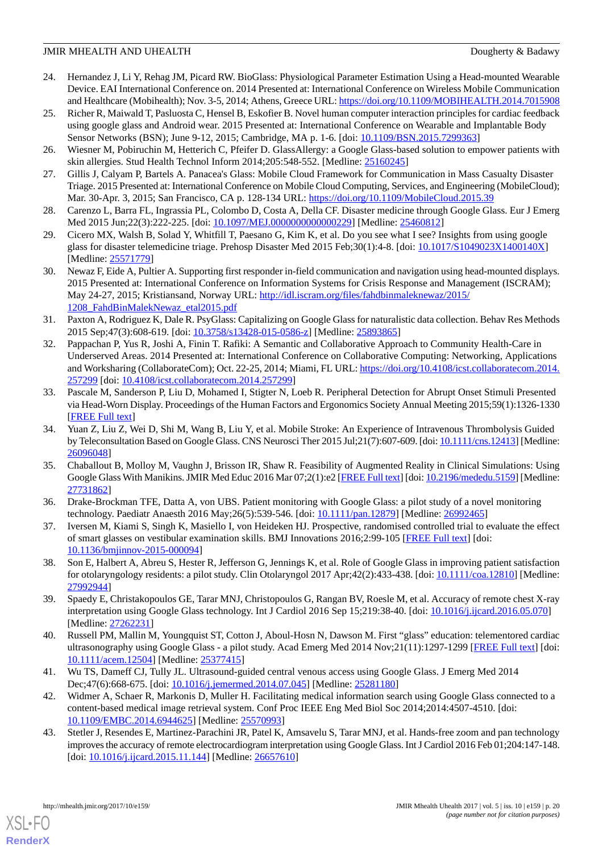- <span id="page-19-2"></span>24. Hernandez J, Li Y, Rehag JM, Picard RW. BioGlass: Physiological Parameter Estimation Using a Head-mounted Wearable Device. EAI International Conference on. 2014 Presented at: International Conference on Wireless Mobile Communication and Healthcare (Mobihealth); Nov. 3-5, 2014; Athens, Greece URL:<https://doi.org/10.1109/MOBIHEALTH.2014.7015908>
- <span id="page-19-3"></span>25. Richer R, Maiwald T, Pasluosta C, Hensel B, Eskofier B. Novel human computer interaction principles for cardiac feedback using google glass and Android wear. 2015 Presented at: International Conference on Wearable and Implantable Body Sensor Networks (BSN); June 9-12, 2015; Cambridge, MA p. 1-6. [doi: [10.1109/BSN.2015.7299363\]](http://dx.doi.org/10.1109/BSN.2015.7299363)
- <span id="page-19-1"></span><span id="page-19-0"></span>26. Wiesner M, Pobiruchin M, Hetterich C, Pfeifer D. GlassAllergy: a Google Glass-based solution to empower patients with skin allergies. Stud Health Technol Inform 2014;205:548-552. [Medline: [25160245](http://www.ncbi.nlm.nih.gov/entrez/query.fcgi?cmd=Retrieve&db=PubMed&list_uids=25160245&dopt=Abstract)]
- <span id="page-19-19"></span>27. Gillis J, Calyam P, Bartels A. Panacea's Glass: Mobile Cloud Framework for Communication in Mass Casualty Disaster Triage. 2015 Presented at: International Conference on Mobile Cloud Computing, Services, and Engineering (MobileCloud); Mar. 30-Apr. 3, 2015; San Francisco, CA p. 128-134 URL:<https://doi.org/10.1109/MobileCloud.2015.39>
- <span id="page-19-18"></span>28. Carenzo L, Barra FL, Ingrassia PL, Colombo D, Costa A, Della CF. Disaster medicine through Google Glass. Eur J Emerg Med 2015 Jun;22(3):222-225. [doi: [10.1097/MEJ.0000000000000229](http://dx.doi.org/10.1097/MEJ.0000000000000229)] [Medline: [25460812](http://www.ncbi.nlm.nih.gov/entrez/query.fcgi?cmd=Retrieve&db=PubMed&list_uids=25460812&dopt=Abstract)]
- <span id="page-19-9"></span>29. Cicero MX, Walsh B, Solad Y, Whitfill T, Paesano G, Kim K, et al. Do you see what I see? Insights from using google glass for disaster telemedicine triage. Prehosp Disaster Med 2015 Feb;30(1):4-8. [doi: [10.1017/S1049023X1400140X](http://dx.doi.org/10.1017/S1049023X1400140X)] [Medline: [25571779](http://www.ncbi.nlm.nih.gov/entrez/query.fcgi?cmd=Retrieve&db=PubMed&list_uids=25571779&dopt=Abstract)]
- <span id="page-19-12"></span>30. Newaz F, Eide A, Pultier A. Supporting first responder in-field communication and navigation using head-mounted displays. 2015 Presented at: International Conference on Information Systems for Crisis Response and Management (ISCRAM); May 24-27, 2015; Kristiansand, Norway URL: [http://idl.iscram.org/files/fahdbinmaleknewaz/2015/](http://idl.iscram.org/files/fahdbinmaleknewaz/2015/1208_FahdBinMalekNewaz_etal2015.pdf) [1208\\_FahdBinMalekNewaz\\_etal2015.pdf](http://idl.iscram.org/files/fahdbinmaleknewaz/2015/1208_FahdBinMalekNewaz_etal2015.pdf)
- <span id="page-19-10"></span>31. Paxton A, Rodriguez K, Dale R. PsyGlass: Capitalizing on Google Glass for naturalistic data collection. Behav Res Methods 2015 Sep;47(3):608-619. [doi: [10.3758/s13428-015-0586-z\]](http://dx.doi.org/10.3758/s13428-015-0586-z) [Medline: [25893865](http://www.ncbi.nlm.nih.gov/entrez/query.fcgi?cmd=Retrieve&db=PubMed&list_uids=25893865&dopt=Abstract)]
- <span id="page-19-11"></span>32. Pappachan P, Yus R, Joshi A, Finin T. Rafiki: A Semantic and Collaborative Approach to Community Health-Care in Underserved Areas. 2014 Presented at: International Conference on Collaborative Computing: Networking, Applications and Worksharing (CollaborateCom); Oct. 22-25, 2014; Miami, FL URL: [https://doi.org/10.4108/icst.collaboratecom.2014.](https://doi.org/10.4108/icst.collaboratecom.2014.257299) [257299](https://doi.org/10.4108/icst.collaboratecom.2014.257299) [doi: [10.4108/icst.collaboratecom.2014.257299\]](http://dx.doi.org/10.4108/icst.collaboratecom.2014.257299)
- <span id="page-19-16"></span>33. Pascale M, Sanderson P, Liu D, Mohamed I, Stigter N, Loeb R. Peripheral Detection for Abrupt Onset Stimuli Presented via Head-Worn Display. Proceedings of the Human Factors and Ergonomics Society Annual Meeting 2015;59(1):1326-1330 [[FREE Full text](https://doi.org/10.1177/1541931215591218)]
- <span id="page-19-4"></span>34. Yuan Z, Liu Z, Wei D, Shi M, Wang B, Liu Y, et al. Mobile Stroke: An Experience of Intravenous Thrombolysis Guided by Teleconsultation Based on Google Glass. CNS Neurosci Ther 2015 Jul;21(7):607-609. [doi: [10.1111/cns.12413](http://dx.doi.org/10.1111/cns.12413)] [Medline: [26096048](http://www.ncbi.nlm.nih.gov/entrez/query.fcgi?cmd=Retrieve&db=PubMed&list_uids=26096048&dopt=Abstract)]
- <span id="page-19-17"></span><span id="page-19-5"></span>35. Chaballout B, Molloy M, Vaughn J, Brisson IR, Shaw R. Feasibility of Augmented Reality in Clinical Simulations: Using Google Glass With Manikins. JMIR Med Educ 2016 Mar 07;2(1):e2 [[FREE Full text](http://mededu.jmir.org/2016/1/e2/)] [doi: [10.2196/mededu.5159\]](http://dx.doi.org/10.2196/mededu.5159) [Medline: [27731862](http://www.ncbi.nlm.nih.gov/entrez/query.fcgi?cmd=Retrieve&db=PubMed&list_uids=27731862&dopt=Abstract)]
- <span id="page-19-6"></span>36. Drake-Brockman TFE, Datta A, von UBS. Patient monitoring with Google Glass: a pilot study of a novel monitoring technology. Paediatr Anaesth 2016 May;26(5):539-546. [doi: [10.1111/pan.12879\]](http://dx.doi.org/10.1111/pan.12879) [Medline: [26992465](http://www.ncbi.nlm.nih.gov/entrez/query.fcgi?cmd=Retrieve&db=PubMed&list_uids=26992465&dopt=Abstract)]
- <span id="page-19-14"></span>37. Iversen M, Kiami S, Singh K, Masiello I, von Heideken HJ. Prospective, randomised controlled trial to evaluate the effect of smart glasses on vestibular examination skills. BMJ Innovations 2016;2:99-105 [[FREE Full text](http://innovations.bmj.com/content/early/2016/03/30/bmjinnov-2015-000094#aff-5)] [doi: [10.1136/bmjinnov-2015-000094\]](http://dx.doi.org/10.1136/bmjinnov-2015-000094)
- <span id="page-19-7"></span>38. Son E, Halbert A, Abreu S, Hester R, Jefferson G, Jennings K, et al. Role of Google Glass in improving patient satisfaction for otolaryngology residents: a pilot study. Clin Otolaryngol 2017 Apr;42(2):433-438. [doi: [10.1111/coa.12810\]](http://dx.doi.org/10.1111/coa.12810) [Medline: [27992944](http://www.ncbi.nlm.nih.gov/entrez/query.fcgi?cmd=Retrieve&db=PubMed&list_uids=27992944&dopt=Abstract)]
- <span id="page-19-8"></span>39. Spaedy E, Christakopoulos GE, Tarar MNJ, Christopoulos G, Rangan BV, Roesle M, et al. Accuracy of remote chest X-ray interpretation using Google Glass technology. Int J Cardiol 2016 Sep 15;219:38-40. [doi: [10.1016/j.ijcard.2016.05.070](http://dx.doi.org/10.1016/j.ijcard.2016.05.070)] [Medline: [27262231](http://www.ncbi.nlm.nih.gov/entrez/query.fcgi?cmd=Retrieve&db=PubMed&list_uids=27262231&dopt=Abstract)]
- <span id="page-19-15"></span>40. Russell PM, Mallin M, Youngquist ST, Cotton J, Aboul-Hosn N, Dawson M. First "glass" education: telementored cardiac ultrasonography using Google Glass - a pilot study. Acad Emerg Med 2014 Nov;21(11):1297-1299 [[FREE Full text](http://dx.doi.org/10.1111/acem.12504)] [doi: [10.1111/acem.12504](http://dx.doi.org/10.1111/acem.12504)] [Medline: [25377415](http://www.ncbi.nlm.nih.gov/entrez/query.fcgi?cmd=Retrieve&db=PubMed&list_uids=25377415&dopt=Abstract)]
- <span id="page-19-13"></span>41. Wu TS, Dameff CJ, Tully JL. Ultrasound-guided central venous access using Google Glass. J Emerg Med 2014 Dec;47(6):668-675. [doi: [10.1016/j.jemermed.2014.07.045\]](http://dx.doi.org/10.1016/j.jemermed.2014.07.045) [Medline: [25281180](http://www.ncbi.nlm.nih.gov/entrez/query.fcgi?cmd=Retrieve&db=PubMed&list_uids=25281180&dopt=Abstract)]
- 42. Widmer A, Schaer R, Markonis D, Muller H. Facilitating medical information search using Google Glass connected to a content-based medical image retrieval system. Conf Proc IEEE Eng Med Biol Soc 2014;2014:4507-4510. [doi: [10.1109/EMBC.2014.6944625](http://dx.doi.org/10.1109/EMBC.2014.6944625)] [Medline: [25570993\]](http://www.ncbi.nlm.nih.gov/entrez/query.fcgi?cmd=Retrieve&db=PubMed&list_uids=25570993&dopt=Abstract)
- 43. Stetler J, Resendes E, Martinez-Parachini JR, Patel K, Amsavelu S, Tarar MNJ, et al. Hands-free zoom and pan technology improves the accuracy of remote electrocardiogram interpretation using Google Glass. Int J Cardiol 2016 Feb 01;204:147-148. [doi: [10.1016/j.ijcard.2015.11.144\]](http://dx.doi.org/10.1016/j.ijcard.2015.11.144) [Medline: [26657610\]](http://www.ncbi.nlm.nih.gov/entrez/query.fcgi?cmd=Retrieve&db=PubMed&list_uids=26657610&dopt=Abstract)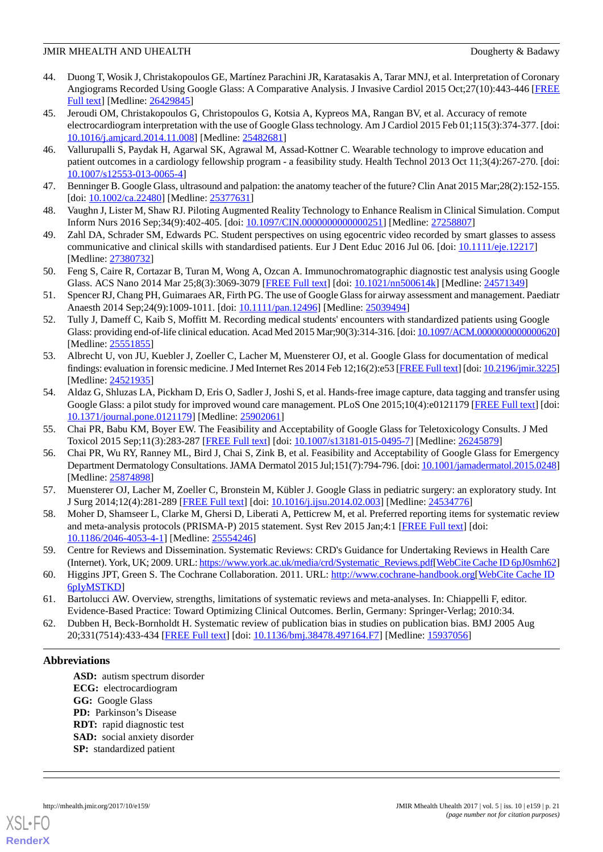- <span id="page-20-13"></span>44. Duong T, Wosik J, Christakopoulos GE, Martínez Parachini JR, Karatasakis A, Tarar MNJ, et al. Interpretation of Coronary Angiograms Recorded Using Google Glass: A Comparative Analysis. J Invasive Cardiol 2015 Oct;27(10):443-446 [\[FREE](http://www.invasivecardiology.com/articles/interpretation-coronary-angiograms-recorded-using-google-glass-comparative-analysis) [Full text\]](http://www.invasivecardiology.com/articles/interpretation-coronary-angiograms-recorded-using-google-glass-comparative-analysis) [Medline: [26429845\]](http://www.ncbi.nlm.nih.gov/entrez/query.fcgi?cmd=Retrieve&db=PubMed&list_uids=26429845&dopt=Abstract)
- <span id="page-20-8"></span>45. Jeroudi OM, Christakopoulos G, Christopoulos G, Kotsia A, Kypreos MA, Rangan BV, et al. Accuracy of remote electrocardiogram interpretation with the use of Google Glass technology. Am J Cardiol 2015 Feb 01;115(3):374-377. [doi: [10.1016/j.amjcard.2014.11.008\]](http://dx.doi.org/10.1016/j.amjcard.2014.11.008) [Medline: [25482681\]](http://www.ncbi.nlm.nih.gov/entrez/query.fcgi?cmd=Retrieve&db=PubMed&list_uids=25482681&dopt=Abstract)
- <span id="page-20-9"></span><span id="page-20-1"></span>46. Vallurupalli S, Paydak H, Agarwal SK, Agrawal M, Assad-Kottner C. Wearable technology to improve education and patient outcomes in a cardiology fellowship program - a feasibility study. Health Technol 2013 Oct 11;3(4):267-270. [doi: [10.1007/s12553-013-0065-4\]](http://dx.doi.org/10.1007/s12553-013-0065-4)
- <span id="page-20-2"></span>47. Benninger B. Google Glass, ultrasound and palpation: the anatomy teacher of the future? Clin Anat 2015 Mar;28(2):152-155. [doi: [10.1002/ca.22480\]](http://dx.doi.org/10.1002/ca.22480) [Medline: [25377631](http://www.ncbi.nlm.nih.gov/entrez/query.fcgi?cmd=Retrieve&db=PubMed&list_uids=25377631&dopt=Abstract)]
- <span id="page-20-3"></span>48. Vaughn J, Lister M, Shaw RJ. Piloting Augmented Reality Technology to Enhance Realism in Clinical Simulation. Comput Inform Nurs 2016 Sep;34(9):402-405. [doi: [10.1097/CIN.0000000000000251](http://dx.doi.org/10.1097/CIN.0000000000000251)] [Medline: [27258807\]](http://www.ncbi.nlm.nih.gov/entrez/query.fcgi?cmd=Retrieve&db=PubMed&list_uids=27258807&dopt=Abstract)
- <span id="page-20-5"></span>49. Zahl DA, Schrader SM, Edwards PC. Student perspectives on using egocentric video recorded by smart glasses to assess communicative and clinical skills with standardised patients. Eur J Dent Educ 2016 Jul 06. [doi: [10.1111/eje.12217\]](http://dx.doi.org/10.1111/eje.12217) [Medline: [27380732](http://www.ncbi.nlm.nih.gov/entrez/query.fcgi?cmd=Retrieve&db=PubMed&list_uids=27380732&dopt=Abstract)]
- <span id="page-20-10"></span>50. Feng S, Caire R, Cortazar B, Turan M, Wong A, Ozcan A. Immunochromatographic diagnostic test analysis using Google Glass. ACS Nano 2014 Mar 25;8(3):3069-3079 [\[FREE Full text\]](http://dx.doi.org/10.1021/nn500614k) [doi: [10.1021/nn500614k](http://dx.doi.org/10.1021/nn500614k)] [Medline: [24571349](http://www.ncbi.nlm.nih.gov/entrez/query.fcgi?cmd=Retrieve&db=PubMed&list_uids=24571349&dopt=Abstract)]
- <span id="page-20-4"></span>51. Spencer RJ, Chang PH, Guimaraes AR, Firth PG. The use of Google Glass for airway assessment and management. Paediatr Anaesth 2014 Sep;24(9):1009-1011. [doi: [10.1111/pan.12496\]](http://dx.doi.org/10.1111/pan.12496) [Medline: [25039494](http://www.ncbi.nlm.nih.gov/entrez/query.fcgi?cmd=Retrieve&db=PubMed&list_uids=25039494&dopt=Abstract)]
- <span id="page-20-6"></span>52. Tully J, Dameff C, Kaib S, Moffitt M. Recording medical students' encounters with standardized patients using Google Glass: providing end-of-life clinical education. Acad Med 2015 Mar;90(3):314-316. [doi: [10.1097/ACM.0000000000000620\]](http://dx.doi.org/10.1097/ACM.0000000000000620) [Medline: [25551855](http://www.ncbi.nlm.nih.gov/entrez/query.fcgi?cmd=Retrieve&db=PubMed&list_uids=25551855&dopt=Abstract)]
- <span id="page-20-7"></span>53. Albrecht U, von JU, Kuebler J, Zoeller C, Lacher M, Muensterer OJ, et al. Google Glass for documentation of medical findings: evaluation in forensic medicine. J Med Internet Res 2014 Feb 12;16(2):e53 [\[FREE Full text](http://www.jmir.org/2014/2/e53/)] [doi: [10.2196/jmir.3225](http://dx.doi.org/10.2196/jmir.3225)] [Medline: [24521935](http://www.ncbi.nlm.nih.gov/entrez/query.fcgi?cmd=Retrieve&db=PubMed&list_uids=24521935&dopt=Abstract)]
- <span id="page-20-11"></span><span id="page-20-0"></span>54. Aldaz G, Shluzas LA, Pickham D, Eris O, Sadler J, Joshi S, et al. Hands-free image capture, data tagging and transfer using Google Glass: a pilot study for improved wound care management. PLoS One 2015;10(4):e0121179 [[FREE Full text](http://dx.plos.org/10.1371/journal.pone.0121179)] [doi: [10.1371/journal.pone.0121179\]](http://dx.doi.org/10.1371/journal.pone.0121179) [Medline: [25902061](http://www.ncbi.nlm.nih.gov/entrez/query.fcgi?cmd=Retrieve&db=PubMed&list_uids=25902061&dopt=Abstract)]
- 55. Chai PR, Babu KM, Boyer EW. The Feasibility and Acceptability of Google Glass for Teletoxicology Consults. J Med Toxicol 2015 Sep;11(3):283-287 [\[FREE Full text\]](http://europepmc.org/abstract/MED/26245879) [doi: [10.1007/s13181-015-0495-7](http://dx.doi.org/10.1007/s13181-015-0495-7)] [Medline: [26245879\]](http://www.ncbi.nlm.nih.gov/entrez/query.fcgi?cmd=Retrieve&db=PubMed&list_uids=26245879&dopt=Abstract)
- <span id="page-20-14"></span><span id="page-20-12"></span>56. Chai PR, Wu RY, Ranney ML, Bird J, Chai S, Zink B, et al. Feasibility and Acceptability of Google Glass for Emergency Department Dermatology Consultations. JAMA Dermatol 2015 Jul;151(7):794-796. [doi: [10.1001/jamadermatol.2015.0248\]](http://dx.doi.org/10.1001/jamadermatol.2015.0248) [Medline: [25874898](http://www.ncbi.nlm.nih.gov/entrez/query.fcgi?cmd=Retrieve&db=PubMed&list_uids=25874898&dopt=Abstract)]
- 57. Muensterer OJ, Lacher M, Zoeller C, Bronstein M, Kübler J. Google Glass in pediatric surgery: an exploratory study. Int J Surg 2014;12(4):281-289 [\[FREE Full text\]](https://linkinghub.elsevier.com/retrieve/pii/S1743-9191(14)00040-5) [doi: [10.1016/j.ijsu.2014.02.003\]](http://dx.doi.org/10.1016/j.ijsu.2014.02.003) [Medline: [24534776](http://www.ncbi.nlm.nih.gov/entrez/query.fcgi?cmd=Retrieve&db=PubMed&list_uids=24534776&dopt=Abstract)]
- <span id="page-20-15"></span>58. Moher D, Shamseer L, Clarke M, Ghersi D, Liberati A, Petticrew M, et al. Preferred reporting items for systematic review and meta-analysis protocols (PRISMA-P) 2015 statement. Syst Rev 2015 Jan;4:1 [\[FREE Full text\]](http://www.systematicreviewsjournal.com/content/4//1) [doi: [10.1186/2046-4053-4-1\]](http://dx.doi.org/10.1186/2046-4053-4-1) [Medline: [25554246\]](http://www.ncbi.nlm.nih.gov/entrez/query.fcgi?cmd=Retrieve&db=PubMed&list_uids=25554246&dopt=Abstract)
- <span id="page-20-17"></span><span id="page-20-16"></span>59. Centre for Reviews and Dissemination. Systematic Reviews: CRD's Guidance for Undertaking Reviews in Health Care (Internet). York, UK; 2009. URL: [https://www.york.ac.uk/media/crd/Systematic\\_Reviews.pdf\[](https://www.york.ac.uk/media/crd/Systematic_Reviews.pdf)[WebCite Cache ID 6pJ0smh62\]](http://www.webcitation.org/

                                            6pJ0smh62)
- 60. Higgins JPT, Green S. The Cochrane Collaboration. 2011. URL:<http://www.cochrane-handbook.org>[\[WebCite Cache ID](http://www.webcitation.org/

                             6pIyMSTKD) [6pIyMSTKD\]](http://www.webcitation.org/

                                            6pIyMSTKD)
- 61. Bartolucci AW. Overview, strengths, limitations of systematic reviews and meta-analyses. In: Chiappelli F, editor. Evidence-Based Practice: Toward Optimizing Clinical Outcomes. Berlin, Germany: Springer-Verlag; 2010:34.
- 62. Dubben H, Beck-Bornholdt H. Systematic review of publication bias in studies on publication bias. BMJ 2005 Aug 20;331(7514):433-434 [[FREE Full text](http://europepmc.org/abstract/MED/15937056)] [doi: [10.1136/bmj.38478.497164.F7](http://dx.doi.org/10.1136/bmj.38478.497164.F7)] [Medline: [15937056](http://www.ncbi.nlm.nih.gov/entrez/query.fcgi?cmd=Retrieve&db=PubMed&list_uids=15937056&dopt=Abstract)]

### **Abbreviations**

**ASD:** autism spectrum disorder **ECG:** electrocardiogram **GG:** Google Glass **PD:** Parkinson's Disease **RDT:** rapid diagnostic test **SAD:** social anxiety disorder **SP:** standardized patient